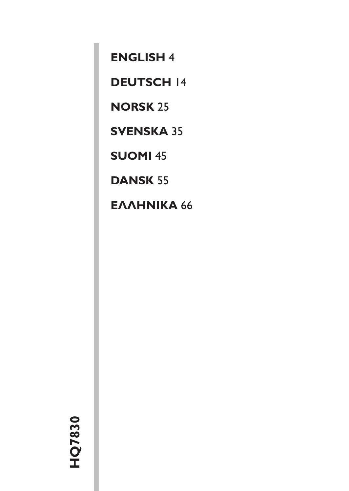**[ENGLISH](#page-1-0)** 4

**[DEUTSCH](#page-11-0)** 14

**[NORSK](#page-22-0)** 25

**[SVENSKA](#page-32-0)** 35

**[SUOMI](#page-42-0)** 45

**[DANSK](#page-52-0)** 55

**EAAHNIKA66**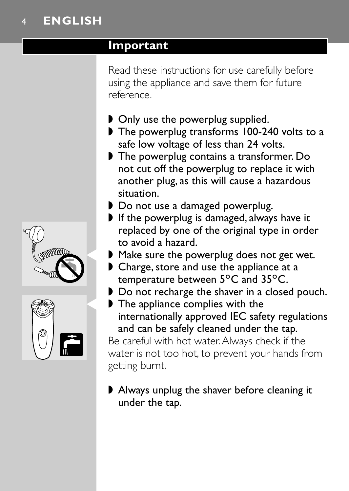# <span id="page-1-0"></span>4 **ENGLISH**

#### **Important**

Read these instructions for use carefully before using the appliance and save them for future reference.

- ◗ Only use the powerplug supplied.
- ◗ The powerplug transforms 100-240 volts to a safe low voltage of less than 24 volts.
- ◗ The powerplug contains a transformer. Do not cut off the powerplug to replace it with another plug, as this will cause a hazardous situation.
- ◗ Do not use a damaged powerplug.
- ◗ If the powerplug is damaged, always have it replaced by one of the original type in order to avoid a hazard.
- Make sure the powerplug does not get wet.
- ◗ Charge, store and use the appliance at a temperature between  $5^{\circ}$ C and  $35^{\circ}$ C.
- ◗ Do not recharge the shaver in a closed pouch.
- ▶ The appliance complies with the internationally approved IEC safety regulations and can be safely cleaned under the tap.

Be careful with hot water.Always check if the water is not too hot, to prevent your hands from getting burnt.

◗ Always unplug the shaver before cleaning it under the tap.



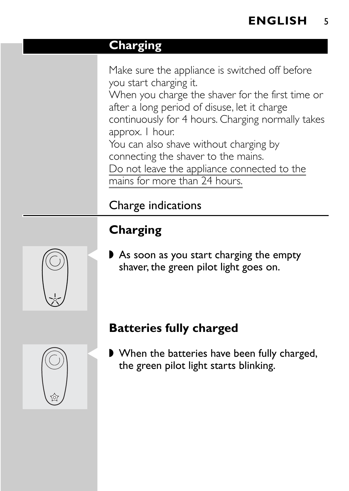#### **Charging**

Make sure the appliance is switched off before you start charging it. When you charge the shaver for the first time or after a long period of disuse, let it charge continuously for 4 hours. Charging normally takes approx. 1 hour. You can also shave without charging by connecting the shaver to the mains. Do not leave the appliance connected to the mains for more than 24 hours.

# Charge indications

# **Charging**

As soon as you start charging the empty shaver, the green pilot light goes on.

# **Batteries fully charged**

■ When the batteries have been fully charged, the green pilot light starts blinking.



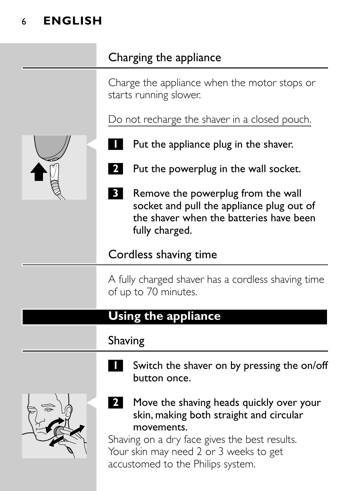# 6 **ENGLISH**

# Charging the appliance

Charge the appliance when the motor stops or starts running slower.

Do not recharge the shaver in a closed pouch.

- Put the appliance plug in the shaver.
- **2** Put the powerplug in the wall socket.
- **3** Remove the powerplug from the wall socket and pull the appliance plug out of the shaver when the batteries have been fully charged.

#### Cordless shaving time

A fully charged shaver has a cordless shaving time of up to 70 minutes.

#### **Using the appliance**

#### Shaving

**1** Switch the shaver on by pressing the on/off button once.



2 Move the shaving heads quickly over your skin, making both straight and circular movements.

Shaving on a dry face gives the best results. Your skin may need 2 or 3 weeks to get accustomed to the Philips system.

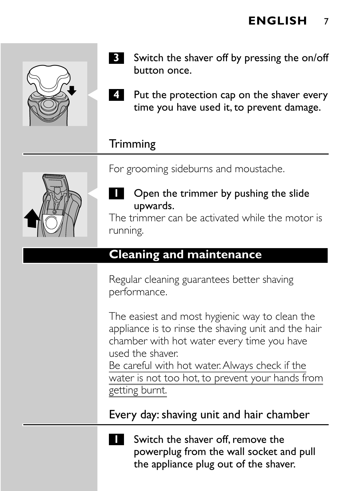

- **3** Switch the shaver off by pressing the on/off button once.
- **4** Put the protection cap on the shaver every time you have used it, to prevent damage.

## **Trimming**

For grooming sideburns and moustache.



**1** Open the trimmer by pushing the slide upwards.

The trimmer can be activated while the motor is running.

# **Cleaning and maintenance**

Regular cleaning guarantees better shaving performance.

The easiest and most hygienic way to clean the appliance is to rinse the shaving unit and the hair chamber with hot water every time you have used the shaver.

Be careful with hot water.Always check if the water is not too hot, to prevent your hands from getting burnt.

Every day: shaving unit and hair chamber



**1** Switch the shaver off, remove the powerplug from the wall socket and pull the appliance plug out of the shaver.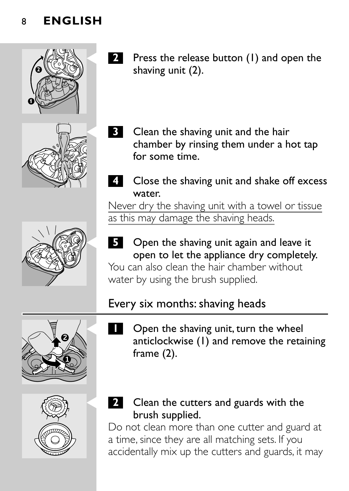





- **2** Press the release button (1) and open the shaving unit (2).
	- **Clean the shaving unit and the hair** chamber by rinsing them under a hot tap for some time.
- **4** Close the shaving unit and shake off excess water.

Never dry the shaving unit with a towel or tissue as this may damage the shaving heads.

**5** Open the shaving unit again and leave it open to let the appliance dry completely.

You can also clean the hair chamber without water by using the brush supplied.

# Every six months: shaving heads





- Open the shaving unit, turn the wheel anticlockwise (1) and remove the retaining frame (2).
- **2** Clean the cutters and guards with the brush supplied.

Do not clean more than one cutter and guard at a time, since they are all matching sets. If you accidentally mix up the cutters and guards, it may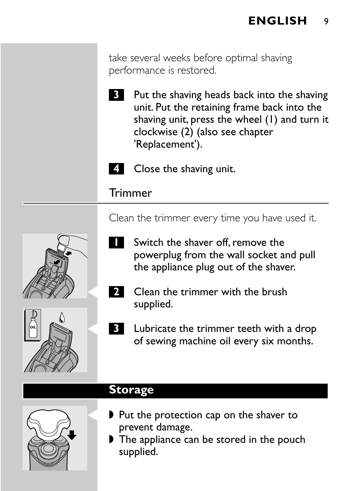take several weeks before optimal shaving performance is restored.

- **3** Put the shaving heads back into the shaving unit. Put the retaining frame back into the shaving unit, press the wheel (1) and turn it clockwise (2) (also see chapter 'Replacement').
- **4** Close the shaving unit.

#### **Trimmer**

Clean the trimmer every time you have used it.

- **1** Switch the shaver off, remove the powerplug from the wall socket and pull the appliance plug out of the shaver.
- **2** Clean the trimmer with the brush supplied.
- **3** Lubricate the trimmer teeth with a drop of sewing machine oil every six months.

#### **Storage**

- ▶ Put the protection cap on the shaver to prevent damage.
- The appliance can be stored in the pouch supplied.





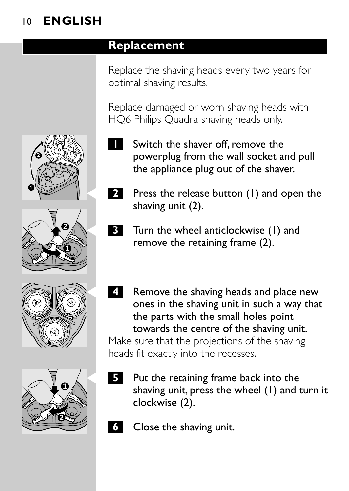# 10 **ENGLISH**

#### **Replacement**

Replace the shaving heads every two years for optimal shaving results.

Replace damaged or worn shaving heads with HQ6 Philips Quadra shaving heads only.

- **1** Switch the shaver off, remove the powerplug from the wall socket and pull the appliance plug out of the shaver.
- **2** Press the release button (1) and open the shaving unit (2).
- **3** Turn the wheel anticlockwise (1) and remove the retaining frame (2).
- C **<sup>4</sup>** Remove the shaving heads and place new ones in the shaving unit in such a way that the parts with the small holes point towards the centre of the shaving unit. Make sure that the projections of the shaving heads fit exactly into the recesses.
- **5** Put the retaining frame back into the shaving unit, press the wheel (1) and turn it clockwise (2).
- **6** Close the shaving unit.







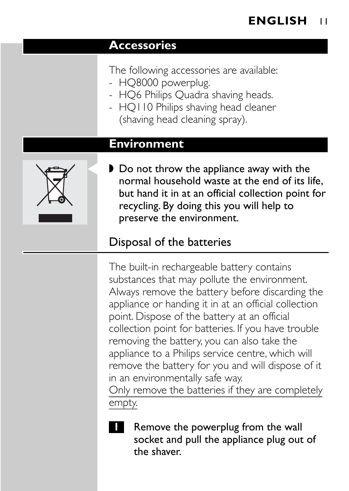#### **Accessories**

- The following accessories are available:
- HQ8000 powerplug.
- HQ6 Philips Quadra shaving heads.
- HQ110 Philips shaving head cleaner (shaving head cleaning spray).

#### **Environment**



▶ Do not throw the appliance away with the normal household waste at the end of its life, but hand it in at an official collection point for recycling. By doing this you will help to preserve the environment.

# Disposal of the batteries

The built-in rechargeable battery contains substances that may pollute the environment. Always remove the battery before discarding the appliance or handing it in at an official collection point. Dispose of the battery at an official collection point for batteries. If you have trouble removing the battery, you can also take the appliance to a Philips service centre, which will remove the battery for you and will dispose of it in an environmentally safe way.

Only remove the batteries if they are completely empty.



**1** Remove the powerplug from the wall socket and pull the appliance plug out of the shaver.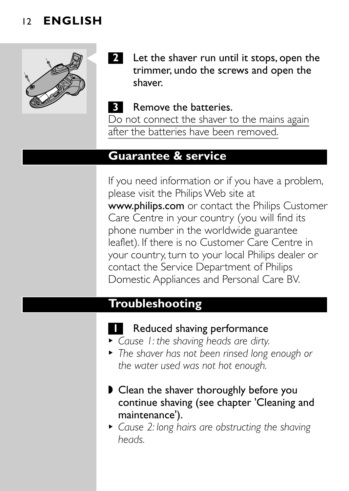#### 12 **ENGLISH**



**2** Let the shaver run until it stops, open the trimmer, undo the screws and open the shaver.

#### **3** Remove the batteries.

Do not connect the shaver to the mains again after the batteries have been removed.

#### **Guarantee & service**

If you need information or if you have a problem, please visit the Philips Web site at www.philips.com or contact the Philips Customer Care Centre in your country (you will find its phone number in the worldwide guarantee leaflet). If there is no Customer Care Centre in your country, turn to your local Philips dealer or contact the Service Department of Philips Domestic Appliances and Personal Care BV.

#### **Troubleshooting**

#### **1** Reduced shaving performance

- <sup>B</sup> *Cause 1: the shaving heads are dirty.*
- <sup>B</sup> *The shaver has not been rinsed long enough or the water used was not hot enough.*
- Clean the shaver thoroughly before you continue shaving (see chapter 'Cleaning and maintenance').
- <sup>B</sup> *Cause 2: long hairs are obstructing the shaving heads.*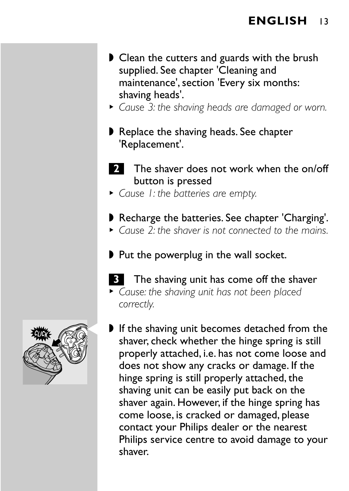#### **ENGLISH** 13

- ◗ Clean the cutters and guards with the brush supplied. See chapter 'Cleaning and maintenance', section 'Every six months: shaving heads'.
- <sup>B</sup> *Cause 3: the shaving heads are damaged or worn.*
- ◗ Replace the shaving heads. See chapter 'Replacement'.
- **2** The shaver does not work when the on/off button is pressed
- <sup>B</sup> *Cause 1: the batteries are empty.*
- ◗ Recharge the batteries. See chapter 'Charging'.
- <sup>B</sup> *Cause 2: the shaver is not connected to the mains.*
- ◗ Put the powerplug in the wall socket.
- **3** The shaving unit has come off the shaver
- <sup>B</sup> *Cause: the shaving unit has not been placed correctly.*
- If the shaving unit becomes detached from the shaver, check whether the hinge spring is still properly attached, i.e. has not come loose and does not show any cracks or damage. If the hinge spring is still properly attached, the shaving unit can be easily put back on the shaver again. However, if the hinge spring has come loose, is cracked or damaged, please contact your Philips dealer or the nearest Philips service centre to avoid damage to your shaver.

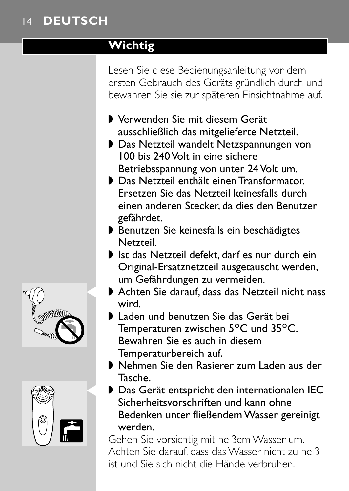## <span id="page-11-0"></span>**Wichtig**

Lesen Sie diese Bedienungsanleitung vor dem ersten Gebrauch des Geräts gründlich durch und bewahren Sie sie zur späteren Einsichtnahme auf.

- ◗ Verwenden Sie mit diesem Gerät ausschließlich das mitgelieferte Netzteil.
- ◗ Das Netzteil wandelt Netzspannungen von 100 bis 240 Volt in eine sichere Betriebsspannung von unter 24 Volt um.
- ◗ Das Netzteil enthält einen Transformator. Ersetzen Sie das Netzteil keinesfalls durch einen anderen Stecker, da dies den Benutzer gefährdet.
- ◗ Benutzen Sie keinesfalls ein beschädigtes Netzteil.
- ◗ Ist das Netzteil defekt, darf es nur durch ein Original-Ersatznetzteil ausgetauscht werden, um Gefährdungen zu vermeiden.
- ▶ Achten Sie darauf, dass das Netzteil nicht nass wird.
- ◗ Laden und benutzen Sie das Gerät bei Temperaturen zwischen 5°C und 35°C. Bewahren Sie es auch in diesem Temperaturbereich auf.
- ◗ Nehmen Sie den Rasierer zum Laden aus der Tasche.
- ▶ Das Gerät entspricht den internationalen IEC Sicherheitsvorschriften und kann ohne Bedenken unter fließendem Wasser gereinigt werden.

Gehen Sie vorsichtig mit heißem Wasser um. Achten Sie darauf, dass das Wasser nicht zu heiß ist und Sie sich nicht die Hände verbrühen.



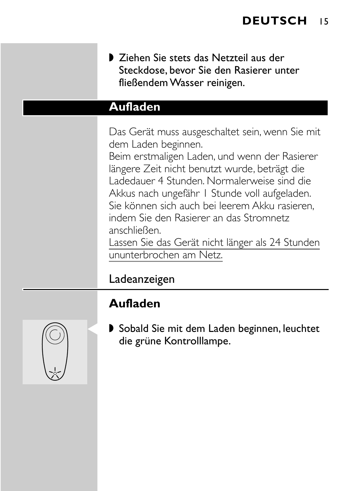◗ Ziehen Sie stets das Netzteil aus der Steckdose, bevor Sie den Rasierer unter fließendem Wasser reinigen.

#### **Aufladen**

Das Gerät muss ausgeschaltet sein, wenn Sie mit dem Laden beginnen.

Beim erstmaligen Laden, und wenn der Rasierer längere Zeit nicht benutzt wurde, beträgt die Ladedauer 4 Stunden. Normalerweise sind die Akkus nach ungefähr 1 Stunde voll aufgeladen. Sie können sich auch bei leerem Akku rasieren, indem Sie den Rasierer an das Stromnetz anschließen.

Lassen Sie das Gerät nicht länger als 24 Stunden ununterbrochen am Netz.

## Ladeanzeigen

# **Aufladen**



▶ Sobald Sie mit dem Laden beginnen, leuchtet die grüne Kontrolllampe.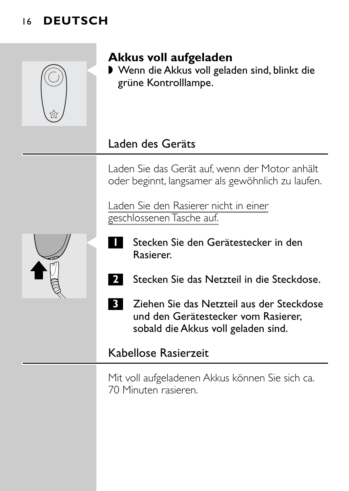

# **Akkus voll aufgeladen**

■ Wenn die Akkus voll geladen sind, blinkt die grüne Kontrolllampe.

## Laden des Geräts

Laden Sie das Gerät auf, wenn der Motor anhält oder beginnt, langsamer als gewöhnlich zu laufen.

Laden Sie den Rasierer nicht in einer geschlossenen Tasche auf.



- Stecken Sie den Gerätestecker in den Rasierer.
- **2** Stecken Sie das Netzteil in die Steckdose.
- **3** Ziehen Sie das Netzteil aus der Steckdose und den Gerätestecker vom Rasierer, sobald die Akkus voll geladen sind.

#### Kabellose Rasierzeit

Mit voll aufgeladenen Akkus können Sie sich ca. 70 Minuten rasieren.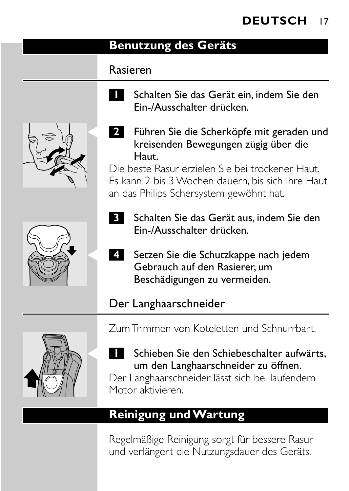#### **Benutzung des Geräts**

#### Rasieren

**1** Schalten Sie das Gerät ein, indem Sie den Ein-/Ausschalter drücken.





**2** Führen Sie die Scherköpfe mit geraden und kreisenden Bewegungen zügig über die Haut.

Die beste Rasur erzielen Sie bei trockener Haut. Es kann 2 bis 3 Wochen dauern, bis sich Ihre Haut an das Philips Schersystem gewöhnt hat.

- **3** Schalten Sie das Gerät aus, indem Sie den Ein-/Ausschalter drücken.
- C **<sup>4</sup>** Setzen Sie die Schutzkappe nach jedem Gebrauch auf den Rasierer, um Beschädigungen zu vermeiden.

# Der Langhaarschneider



Zum Trimmen von Koteletten und Schnurrbart.

# Schieben Sie den Schiebeschalter aufwärts, um den Langhaarschneider zu öffnen.

Der Langhaarschneider lässt sich bei laufendem Motor aktivieren.

# **Reinigung und Wartung**

Regelmäßige Reinigung sorgt für bessere Rasur und verlängert die Nutzungsdauer des Geräts.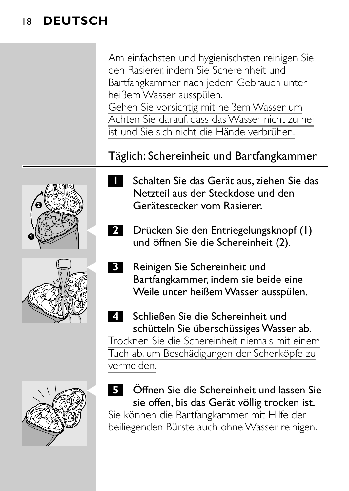Am einfachsten und hygienischsten reinigen Sie den Rasierer, indem Sie Schereinheit und Bartfangkammer nach jedem Gebrauch unter heißem Wasser ausspülen. Gehen Sie vorsichtig mit heißem Wasser um

Achten Sie darauf, dass das Wasser nicht zu hei ist und Sie sich nicht die Hände verbrühen.

## Täglich: Schereinheit und Bartfangkammer



- 
- Netzteil aus der Steckdose und den Gerätestecker vom Rasierer.

**1** Schalten Sie das Gerät aus, ziehen Sie das

- **2** Drücken Sie den Entriegelungsknopf (1) und öffnen Sie die Schereinheit (2).
- **3** Reinigen Sie Schereinheit und Bartfangkammer, indem sie beide eine Weile unter heißem Wasser ausspülen.
- **4** Schließen Sie die Schereinheit und schütteln Sie überschüssiges Wasser ab. Trocknen Sie die Schereinheit niemals mit einem Tuch ab, um Beschädigungen der Scherköpfe zu vermeiden.
- C **<sup>5</sup>** Öffnen Sie die Schereinheit und lassen Sie sie offen, bis das Gerät völlig trocken ist.

Sie können die Bartfangkammer mit Hilfe der beiliegenden Bürste auch ohne Wasser reinigen.

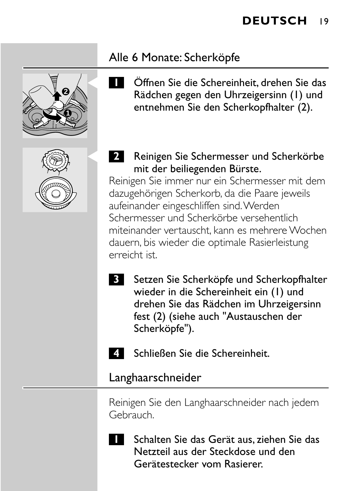#### Alle 6 Monate: Scherköpfe

**1 2**



- C **<sup>1</sup>** Öffnen Sie die Schereinheit, drehen Sie das Rädchen gegen den Uhrzeigersinn (1) und entnehmen Sie den Scherkopfhalter (2).
- **2** Reinigen Sie Schermesser und Scherkörbe mit der beiliegenden Bürste.

Reinigen Sie immer nur ein Schermesser mit dem dazugehörigen Scherkorb, da die Paare jeweils aufeinander eingeschliffen sind.Werden Schermesser und Scherkörbe versehentlich miteinander vertauscht, kann es mehrere Wochen dauern, bis wieder die optimale Rasierleistung erreicht ist.

- **3** Setzen Sie Scherköpfe und Scherkopfhalter wieder in die Schereinheit ein (1) und drehen Sie das Rädchen im Uhrzeigersinn fest (2) (siehe auch "Austauschen der Scherköpfe").
	- **4** Schließen Sie die Schereinheit.

#### Langhaarschneider

Reinigen Sie den Langhaarschneider nach jedem Gebrauch.



**1** Schalten Sie das Gerät aus, ziehen Sie das Netzteil aus der Steckdose und den Gerätestecker vom Rasierer.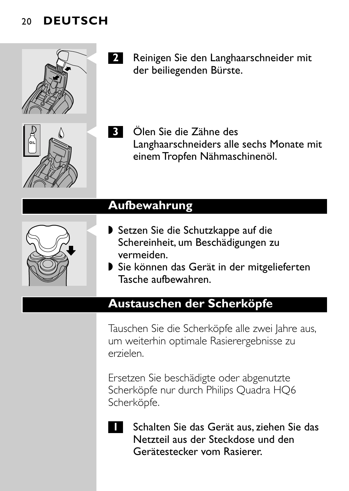

- **2** Reinigen Sie den Langhaarschneider mit der beiliegenden Bürste.
- C **<sup>3</sup>** Ölen Sie die Zähne des Langhaarschneiders alle sechs Monate mit einem Tropfen Nähmaschinenöl.

#### **Aufbewahrung**

- ▶ Setzen Sie die Schutzkappe auf die Schereinheit, um Beschädigungen zu vermeiden.
- ◗ Sie können das Gerät in der mitgelieferten Tasche aufbewahren.

## **Austauschen der Scherköpfe**

Tauschen Sie die Scherköpfe alle zwei Jahre aus, um weiterhin optimale Rasierergebnisse zu erzielen.

Ersetzen Sie beschädigte oder abgenutzte Scherköpfe nur durch Philips Quadra HQ6 Scherköpfe.



**1** Schalten Sie das Gerät aus, ziehen Sie das Netzteil aus der Steckdose und den Gerätestecker vom Rasierer.

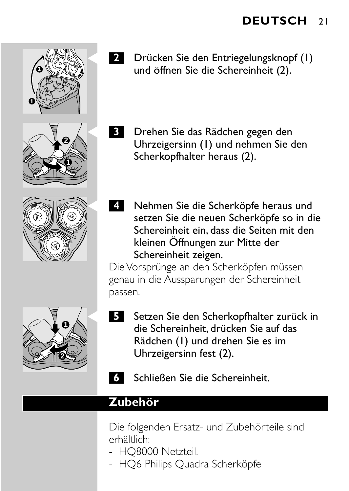

- **2** Drücken Sie den Entriegelungsknopf (1) und öffnen Sie die Schereinheit (2).
- **3** Drehen Sie das Rädchen gegen den Uhrzeigersinn (1) und nehmen Sie den Scherkopfhalter heraus (2).
- **4** Nehmen Sie die Scherköpfe heraus und setzen Sie die neuen Scherköpfe so in die Schereinheit ein, dass die Seiten mit den kleinen Öffnungen zur Mitte der Schereinheit zeigen.

Die Vorsprünge an den Scherköpfen müssen genau in die Aussparungen der Schereinheit passen.



- C **<sup>5</sup>** Setzen Sie den Scherkopfhalter zurück in die Schereinheit, drücken Sie auf das Rädchen (1) und drehen Sie es im Uhrzeigersinn fest (2).
	- **6** Schließen Sie die Schereinheit.

#### **Zubehör**

Die folgenden Ersatz- und Zubehörteile sind erhältlich:

- HQ8000 Netzteil.
- HQ6 Philips Quadra Scherköpfe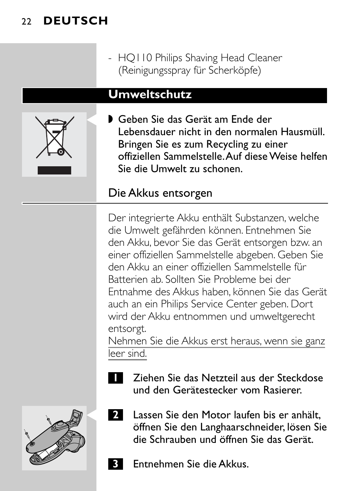- HQ110 Philips Shaving Head Cleaner (Reinigungsspray für Scherköpfe)

#### **Umweltschutz**



■ Geben Sie das Gerät am Ende der Lebensdauer nicht in den normalen Hausmüll. Bringen Sie es zum Recycling zu einer offiziellen Sammelstelle.Auf diese Weise helfen Sie die Umwelt zu schonen.

## Die Akkus entsorgen

Der integrierte Akku enthält Substanzen, welche die Umwelt gefährden können. Entnehmen Sie den Akku, bevor Sie das Gerät entsorgen bzw. an einer offiziellen Sammelstelle abgeben. Geben Sie den Akku an einer offiziellen Sammelstelle für Batterien ab. Sollten Sie Probleme bei der Entnahme des Akkus haben, können Sie das Gerät auch an ein Philips Service Center geben. Dort wird der Akku entnommen und umweltgerecht entsorgt.

Nehmen Sie die Akkus erst heraus, wenn sie ganz leer sind.

**1** Ziehen Sie das Netzteil aus der Steckdose und den Gerätestecker vom Rasierer.



- **2** Lassen Sie den Motor laufen bis er anhält, öffnen Sie den Langhaarschneider, lösen Sie die Schrauben und öffnen Sie das Gerät.
	- **3** Entnehmen Sie die Akkus.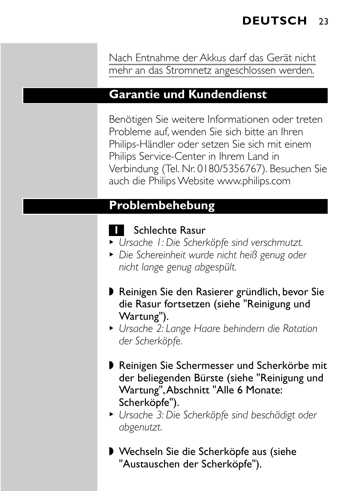Nach Entnahme der Akkus darf das Gerät nicht mehr an das Stromnetz angeschlossen werden.

#### **Garantie und Kundendienst**

Benötigen Sie weitere Informationen oder treten Probleme auf, wenden Sie sich bitte an Ihren Philips-Händler oder setzen Sie sich mit einem Philips Service-Center in Ihrem Land in Verbindung (Tel. Nr. 0180/5356767). Besuchen Sie auch die Philips Website www.philips.com

#### **Problembehebung**

#### **1** Schlechte Rasur

- <sup>B</sup> *Ursache 1: Die Scherköpfe sind verschmutzt.*
- <sup>B</sup> *Die Schereinheit wurde nicht heiß genug oder nicht lange genug abgespült.*
- ◗ Reinigen Sie den Rasierer gründlich, bevor Sie die Rasur fortsetzen (siehe "Reinigung und Wartung").
- <sup>B</sup> *Ursache 2: Lange Haare behindern die Rotation der Scherköpfe.*
- ◗ Reinigen Sie Schermesser und Scherkörbe mit der beliegenden Bürste (siehe "Reinigung und Wartung",Abschnitt "Alle 6 Monate: Scherköpfe").
- <sup>B</sup> *Ursache 3: Die Scherköpfe sind beschädigt oder abgenutzt.*
- ◗ Wechseln Sie die Scherköpfe aus (siehe "Austauschen der Scherköpfe").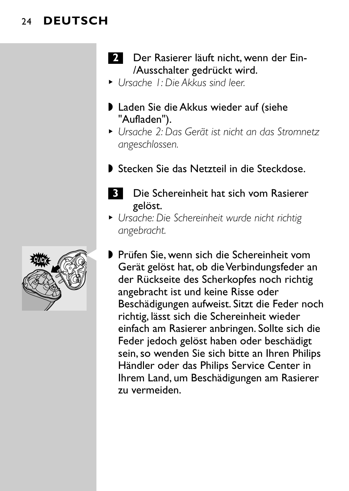- **2** Der Rasierer läuft nicht, wenn der Ein-/Ausschalter gedrückt wird.
- <sup>B</sup> *Ursache 1: Die Akkus sind leer.*
- ◗ Laden Sie die Akkus wieder auf (siehe "Aufladen").
- <sup>B</sup> *Ursache 2: Das Gerät ist nicht an das Stromnetz angeschlossen.*
- ◗ Stecken Sie das Netzteil in die Steckdose.
	- **3** Die Schereinheit hat sich vom Rasierer gelöst.
- <sup>B</sup> *Ursache: Die Schereinheit wurde nicht richtig angebracht.*
- ▶ Prüfen Sie, wenn sich die Schereinheit vom Gerät gelöst hat, ob die Verbindungsfeder an der Rückseite des Scherkopfes noch richtig angebracht ist und keine Risse oder Beschädigungen aufweist. Sitzt die Feder noch richtig, lässt sich die Schereinheit wieder einfach am Rasierer anbringen. Sollte sich die Feder jedoch gelöst haben oder beschädigt sein, so wenden Sie sich bitte an Ihren Philips Händler oder das Philips Service Center in Ihrem Land, um Beschädigungen am Rasierer zu vermeiden.

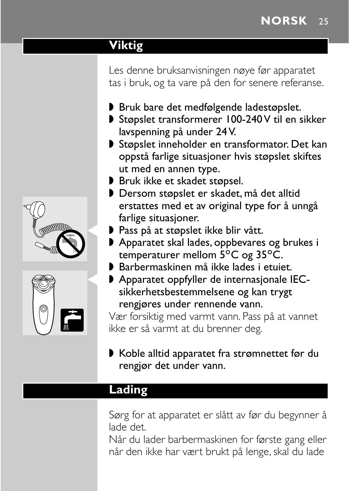# <span id="page-22-0"></span>**Viktig**

Les denne bruksanvisningen nøye før apparatet tas i bruk, og ta vare på den for senere referanse.

- ◗ Bruk bare det medfølgende ladestøpslet.
- ◗ Støpslet transformerer 100-240 V til en sikker lavspenning på under 24 V.
- ◗ Støpslet inneholder en transformator. Det kan oppstå farlige situasjoner hvis støpslet skiftes ut med en annen type.
- ◗ Bruk ikke et skadet støpsel.
- ◗ Dersom støpslet er skadet, må det alltid erstattes med et av original type for å unngå farlige situasjoner.
- ▶ Pass på at støpslet ikke blir vått.
- ◗ Apparatet skal lades, oppbevares og brukes i temperaturer mellom  $5^{\circ}$ C og  $35^{\circ}$ C.
- ◗ Barbermaskinen må ikke lades i etuiet.
- ▶ Apparatet oppfyller de internasjonale IECsikkerhetsbestemmelsene og kan trygt rengjøres under rennende vann.

Vær forsiktig med varmt vann. Pass på at vannet ikke er så varmt at du brenner deg.

◗ Koble alltid apparatet fra strømnettet før du rengjør det under vann.

#### **Lading**

Sørg for at apparatet er slått av før du begynner å lade det.

Når du lader barbermaskinen for første gang eller når den ikke har vært brukt på lenge, skal du lade



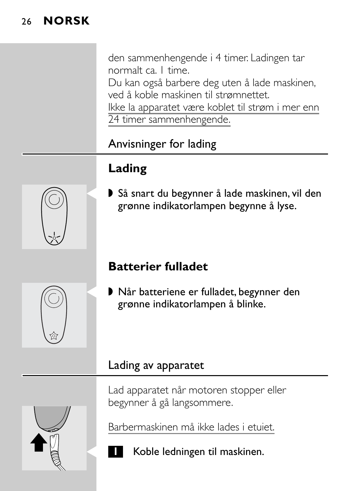den sammenhengende i 4 timer. Ladingen tar normalt ca. 1 time.

Du kan også barbere deg uten å lade maskinen, ved å koble maskinen til strømnettet. Ikke la apparatet være koblet til strøm i mer enn

24 timer sammenhengende.

# Anvisninger for lading

# **Lading**

▶ Så snart du begynner å lade maskinen, vil den grønne indikatorlampen begynne å lyse.

# **Batterier fulladet**

■ Når batteriene er fulladet, begynner den grønne indikatorlampen å blinke.

## Lading av apparatet

Lad apparatet når motoren stopper eller begynner å gå langsommere.

Barbermaskinen må ikke lades i etuiet.

**1** Koble ledningen til maskinen.





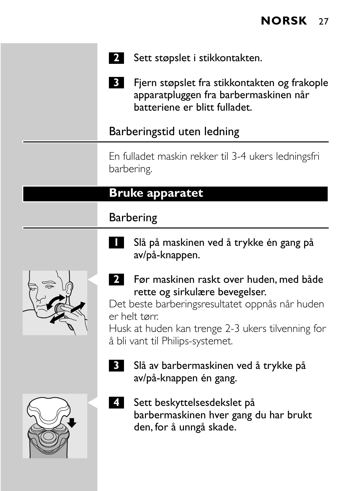

**2** Sett støpslet i stikkontakten.

**3** Fjern støpslet fra stikkontakten og frakople apparatpluggen fra barbermaskinen når batteriene er blitt fulladet.

#### Barberingstid uten ledning

En fulladet maskin rekker til 3-4 ukers ledningsfri barbering.

#### **Bruke apparatet**

#### Barbering



- **1** Slå på maskinen ved å trykke én gang på av/på-knappen.
- **2** Før maskinen raskt over huden, med både rette og sirkulære bevegelser.

Det beste barberingsresultatet oppnås når huden er helt tørr.

Husk at huden kan trenge 2-3 ukers tilvenning for å bli vant til Philips-systemet.

- 
- **3** Slå av barbermaskinen ved å trykke på av/på-knappen én gang.
- C **<sup>4</sup>** Sett beskyttelsesdekslet på barbermaskinen hver gang du har brukt den, for å unngå skade.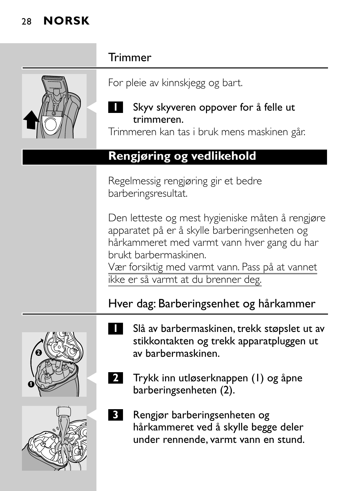| Trimmer                                                                                                                                                                                                                                                             |
|---------------------------------------------------------------------------------------------------------------------------------------------------------------------------------------------------------------------------------------------------------------------|
| For pleie av kinnskjegg og bart.                                                                                                                                                                                                                                    |
| Skyv skyveren oppover for å felle ut<br>trimmeren.<br>Trimmeren kan tas i bruk mens maskinen går.                                                                                                                                                                   |
| Rengjøring og vedlikehold                                                                                                                                                                                                                                           |
| Regelmessig rengjøring gir et bedre<br>barberingsresultat.                                                                                                                                                                                                          |
| Den letteste og mest hygieniske måten å rengjøre<br>apparatet på er å skylle barberingsenheten og<br>hårkammeret med varmt vann hver gang du har<br>brukt barbermaskinen.<br>Vær forsiktig med varmt vann. Pass på at vannet<br>ikke er så varmt at du brenner deg. |
| Hver dag: Barberingsenhet og hårkammer                                                                                                                                                                                                                              |
| Slå av barbermaskinen, trekk støpslet ut av<br>stikkontakten og trekk apparatpluggen ut<br>av barbermaskinen.<br>Trykk inn utløserknappen (1) og åpne<br>barberingsenheten (2).                                                                                     |
| Rengjør barberingsenheten og<br>31<br>hårkammeret ved å skylle begge deler<br>under rennende, varmt vann en stund.                                                                                                                                                  |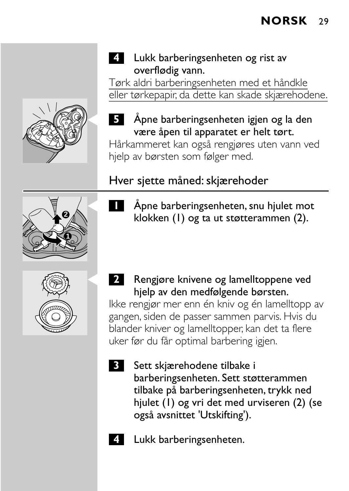#### **4** Lukk barberingsenheten og rist av overflødig vann.

Tørk aldri barberingsenheten med et håndkle eller tørkepapir, da dette kan skade skjærehodene.

# C **<sup>5</sup>** Åpne barberingsenheten igjen og la den være åpen til apparatet er helt tørt.

Hårkammeret kan også rengjøres uten vann ved hjelp av børsten som følger med.

# Hver sjette måned: skjærehoder

**1** Åpne barberingsenheten, snu hjulet mot klokken (1) og ta ut støtterammen (2).

**2** Rengjøre knivene og lamelltoppene ved hjelp av den medfølgende børsten. Ikke rengjør mer enn én kniv og én lamelltopp av gangen, siden de passer sammen parvis. Hvis du

blander kniver og lamelltopper, kan det ta flere uker før du får optimal barbering igjen.

- **3** Sett skjærehodene tilbake i barberingsenheten. Sett støtterammen tilbake på barberingsenheten, trykk ned hiulet (1) og vri det med urviseren (2) (se også avsnittet 'Utskifting').
- **4** Lukk barberingsenheten.



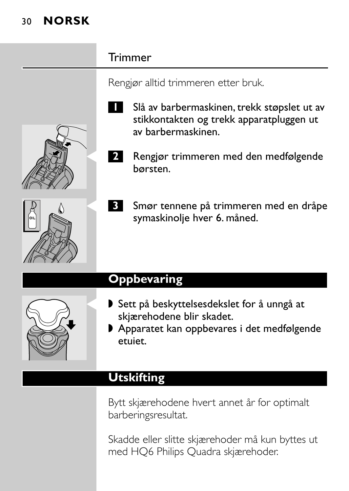| Trimmer                                                                                                                          |
|----------------------------------------------------------------------------------------------------------------------------------|
| Rengjør alltid trimmeren etter bruk.                                                                                             |
| Slå av barbermaskinen, trekk støpslet ut av<br>stikkontakten og trekk apparatpluggen ut<br>av barbermaskinen.                    |
| Rengjør trimmeren med den medfølgende<br>2.<br>børsten.                                                                          |
| Smør tennene på trimmeren med en dråpe<br>symaskinolje hver 6. måned.                                                            |
| <b>Oppbevaring</b>                                                                                                               |
| Sett på beskyttelsesdekslet for å unngå at<br>skjærehodene blir skadet.<br>Apparatet kan oppbevares i det medfølgende<br>etuiet. |

# **Utskifting**

Bytt skjærehodene hvert annet år for optimalt barberingsresultat.

Skadde eller slitte skjærehoder må kun byttes ut med HQ6 Philips Quadra skjærehoder.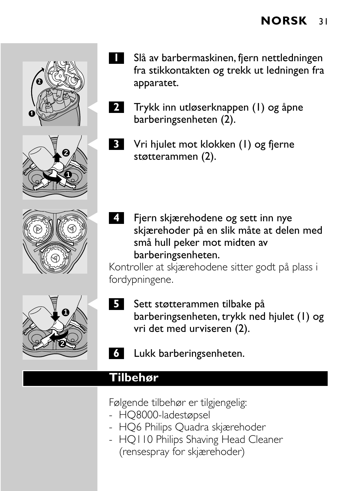







- **1** Slå av barbermaskinen, fjern nettledningen fra stikkontakten og trekk ut ledningen fra apparatet.
- C **<sup>2</sup>** Trykk inn utløserknappen (1) og åpne barberingsenheten (2).
	- C **<sup>3</sup>** Vri hjulet mot klokken (1) og fjerne støtterammen (2).
- C **<sup>4</sup>** Fjern skjærehodene og sett inn nye skjærehoder på en slik måte at delen med små hull peker mot midten av barberingsenheten.

Kontroller at skjærehodene sitter godt på plass i fordypningene.

- **5** Sett støtterammen tilbake på barberingsenheten, trykk ned hjulet (1) og vri det med urviseren (2).
	- **6** Lukk barberingsenheten.

#### **Tilbehør**

Følgende tilbehør er tilgjengelig:

- HQ8000-ladestøpsel
- HQ6 Philips Quadra skjærehoder
- HOI 10 Philips Shaving Head Cleaner (rensespray for skjærehoder)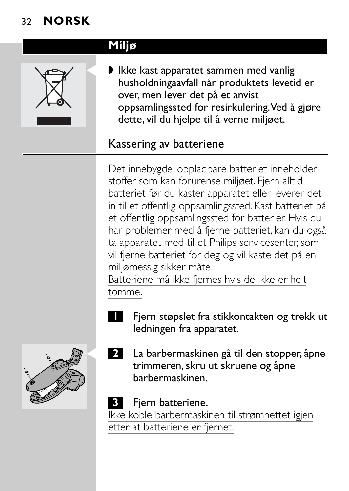



■ Ikke kast apparatet sammen med vanlig husholdningaavfall når produktets levetid er over, men lever det på et anvist oppsamlingssted for resirkulering.Ved å gjøre dette, vil du hjelpe til å verne miljøet.

## Kassering av batteriene

Det innebygde, oppladbare batteriet inneholder stoffer som kan forurense miljøet. Fjern alltid batteriet før du kaster apparatet eller leverer det in til et offentlig oppsamlingssted. Kast batteriet på et offentlig oppsamlingssted for batterier. Hvis du har problemer med å fjerne batteriet, kan du også ta apparatet med til et Philips servicesenter, som vil fjerne batteriet for deg og vil kaste det på en miljømessig sikker måte.

Batteriene må ikke fjernes hvis de ikke er helt tomme.

**1** Fjern støpslet fra stikkontakten og trekk ut ledningen fra apparatet.



La barbermaskinen gå til den stopper, åpne trimmeren, skru ut skruene og åpne barbermaskinen.

#### **3** Fjern batteriene.

Ikke koble barbermaskinen til strømnettet igjen etter at batteriene er fjernet.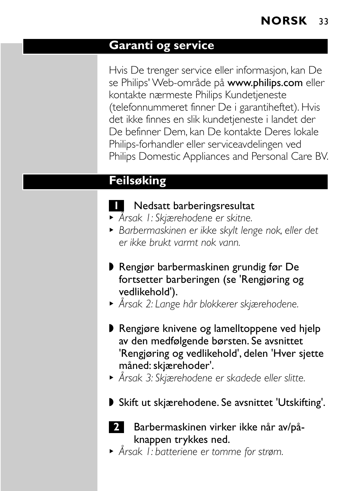#### **Garanti og service**

Hvis De trenger service eller informasjon, kan De se Philips' Web-område på www.philips.com eller kontakte nærmeste Philips Kundetjeneste (telefonnummeret finner De i garantiheftet). Hvis det ikke finnes en slik kundetjeneste i landet der De befinner Dem, kan De kontakte Deres lokale Philips-forhandler eller serviceavdelingen ved Philips Domestic Appliances and Personal Care BV.

#### **Feilsøking**

#### **1** Nedsatt barberingsresultat

- <sup>B</sup> *Årsak 1: Skjærehodene er skitne.*
- <sup>B</sup> *Barbermaskinen er ikke skylt lenge nok, eller det er ikke brukt varmt nok vann.*
- ◗ Rengjør barbermaskinen grundig før De fortsetter barberingen (se 'Rengjøring og vedlikehold').
- <sup>B</sup> *Årsak 2: Lange hår blokkerer skjærehodene.*
- ◗ Rengjøre knivene og lamelltoppene ved hjelp av den medfølgende børsten. Se avsnittet 'Rengjøring og vedlikehold', delen 'Hver sjette måned: skjærehoder'.
- <sup>B</sup> *Årsak 3: Skjærehodene er skadede eller slitte.*
- ◗ Skift ut skjærehodene. Se avsnittet 'Utskifting'.



- **2** Barbermaskinen virker ikke når av/påknappen trykkes ned.
- <sup>B</sup> *Årsak 1: batteriene er tomme for strøm.*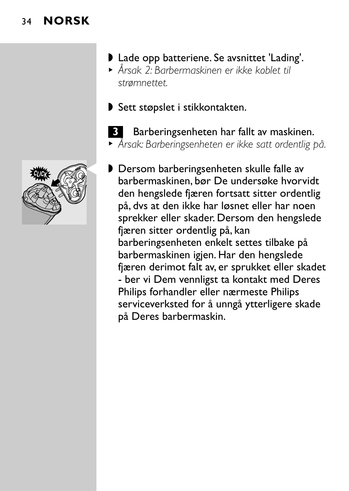

- ◗ Lade opp batteriene. Se avsnittet 'Lading'.
- <sup>B</sup> *Årsak 2: Barbermaskinen er ikke koblet til strømnettet.*
- ◗ Sett støpslet i stikkontakten.
- **3** Barberingsenheten har fallt av maskinen. <sup>B</sup> *Årsak: Barberingsenheten er ikke satt ordentlig på.*
- ▶ Dersom barberingsenheten skulle falle av barbermaskinen, bør De undersøke hvorvidt den hengslede fjæren fortsatt sitter ordentlig på, dvs at den ikke har løsnet eller har noen sprekker eller skader. Dersom den hengslede fjæren sitter ordentlig på, kan barberingsenheten enkelt settes tilbake på barbermaskinen igjen. Har den hengslede fjæren derimot falt av, er sprukket eller skadet - ber vi Dem vennligst ta kontakt med Deres Philips forhandler eller nærmeste Philips serviceverksted for å unngå ytterligere skade på Deres barbermaskin.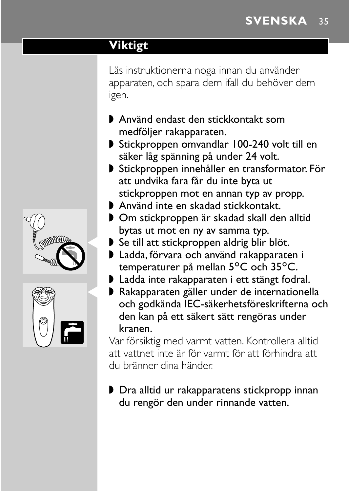#### <span id="page-32-0"></span>**Viktigt**

Läs instruktionerna noga innan du använder apparaten, och spara dem ifall du behöver dem igen.

- ◗ Använd endast den stickkontakt som medföljer rakapparaten.
- ◗ Stickproppen omvandlar 100-240 volt till en säker låg spänning på under 24 volt.
- ◗ Stickproppen innehåller en transformator. För att undvika fara får du inte byta ut stickproppen mot en annan typ av propp.
- ◗ Använd inte en skadad stickkontakt.
- ◗ Om stickproppen är skadad skall den alltid bytas ut mot en ny av samma typ.
- ▶ Se till att stickproppen aldrig blir blöt.
- ◗ Ladda, förvara och använd rakapparaten i temperaturer på mellan 5°C och 35°C.
- ◗ Ladda inte rakapparaten i ett stängt fodral.
- ▶ Rakapparaten gäller under de internationella och godkända IEC-säkerhetsföreskrifterna och den kan på ett säkert sätt rengöras under kranen.

Var försiktig med varmt vatten. Kontrollera alltid att vattnet inte är för varmt för att förhindra att du bränner dina händer.

◗ Dra alltid ur rakapparatens stickpropp innan du rengör den under rinnande vatten.



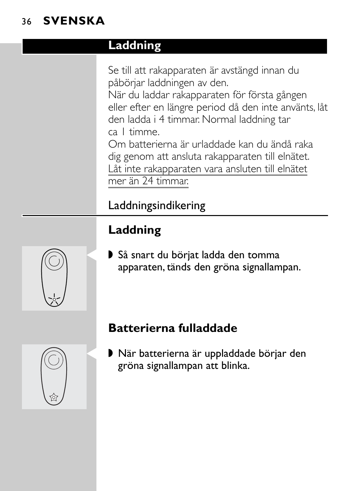## 36 **SVENSKA**

## **Laddning**

Se till att rakapparaten är avstängd innan du påbörjar laddningen av den.

När du laddar rakapparaten för första gången eller efter en längre period då den inte använts, låt den ladda i 4 timmar. Normal laddning tar ca 1 timme.

Om batterierna är urladdade kan du ändå raka dig genom att ansluta rakapparaten till elnätet. Låt inte rakapparaten vara ansluten till elnätet mer än 24 timmar.

# Laddningsindikering

# **Laddning**

▶ Så snart du börjat ladda den tomma apparaten, tänds den gröna signallampan.

# **Batterierna fulladdade**

▶ När batterierna är uppladdade börjar den gröna signallampan att blinka.



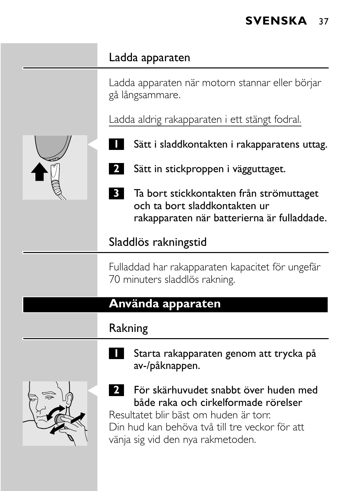#### Ladda apparaten

Ladda apparaten när motorn stannar eller börjar gå långsammare.

Ladda aldrig rakapparaten i ett stängt fodral.



- Sätt i sladdkontakten i rakapparatens uttag.
- **2** Sätt in stickproppen i vägguttaget.
- **3** Ta bort stickkontakten från strömuttaget och ta bort sladdkontakten ur rakapparaten när batterierna är fulladdade.

#### Sladdlös rakningstid

Fulladdad har rakapparaten kapacitet för ungefär 70 minuters sladdlös rakning.

#### **Använda apparaten**

## Rakning



- **1** Starta rakapparaten genom att trycka på av-/påknappen.
- C **<sup>2</sup>** För skärhuvudet snabbt över huden med både raka och cirkelformade rörelser Resultatet blir bäst om huden är torr. Din hud kan behöva två till tre veckor för att vänja sig vid den nya rakmetoden.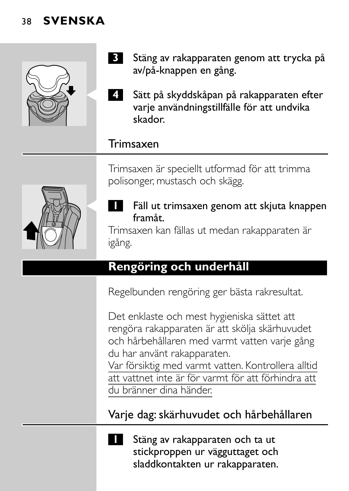#### 38 **SVENSKA**



- **3** Stäng av rakapparaten genom att trycka på av/på-knappen en gång.
- C **<sup>4</sup>** Sätt på skyddskåpan på rakapparaten efter varje användningstillfälle för att undvika skador.

#### Trimsaxen

Trimsaxen är speciellt utformad för att trimma polisonger, mustasch och skägg.



#### Fäll ut trimsaxen genom att skjuta knappen framåt.

Trimsaxen kan fällas ut medan rakapparaten är igång.

## **Rengöring och underhåll**

Regelbunden rengöring ger bästa rakresultat.

Det enklaste och mest hygieniska sättet att rengöra rakapparaten är att skölja skärhuvudet och hårbehållaren med varmt vatten varje gång du har använt rakapparaten.

Var försiktig med varmt vatten. Kontrollera alltid att vattnet inte är för varmt för att förhindra att du bränner dina händer.

Varje dag: skärhuvudet och hårbehållaren

**1** Stäng av rakapparaten och ta ut stickproppen ur vägguttaget och sladdkontakten ur rakapparaten.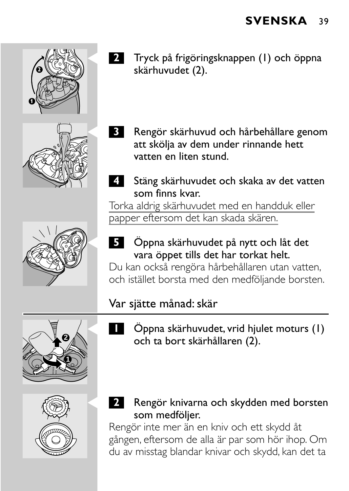





- C **<sup>2</sup>** Tryck på frigöringsknappen (1) och öppna skärhuvudet (2).
- C **<sup>3</sup>** Rengör skärhuvud och hårbehållare genom att skölja av dem under rinnande hett vatten en liten stund.
- **4** Stäng skärhuvudet och skaka av det vatten som finns kvar.

Torka aldrig skärhuvudet med en handduk eller papper eftersom det kan skada skären.

C **<sup>5</sup>** Öppna skärhuvudet på nytt och låt det vara öppet tills det har torkat helt.

Du kan också rengöra hårbehållaren utan vatten, och istället borsta med den medföljande borsten.

# Var sjätte månad: skär

C **<sup>1</sup>** Öppna skärhuvudet, vrid hjulet moturs (1) och ta bort skärhållaren (2).



**1 2**

> C **<sup>2</sup>** Rengör knivarna och skydden med borsten som medföljer.

Rengör inte mer än en kniv och ett skydd åt gången, eftersom de alla är par som hör ihop. Om du av misstag blandar knivar och skydd, kan det ta

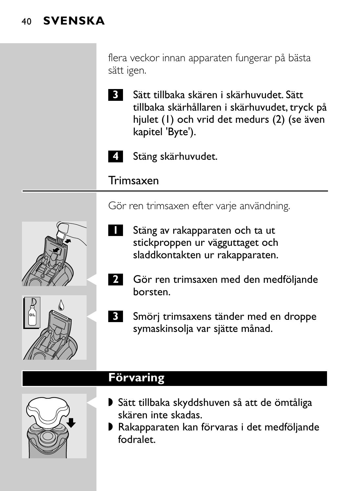#### 40 **SVENSKA**

flera veckor innan apparaten fungerar på bästa sätt igen.

**3** Sätt tillbaka skären i skärhuvudet. Sätt tillbaka skärhållaren i skärhuvudet, tryck på hjulet (1) och vrid det medurs (2) (se även kapitel 'Byte').



**4** Stäng skärhuvudet.

Trimsaxen

Gör ren trimsaxen efter varje användning.

- **1** Stäng av rakapparaten och ta ut stickproppen ur vägguttaget och sladdkontakten ur rakapparaten.
- **2** Gör ren trimsaxen med den medföljande borsten.
- **3** Smörj trimsaxens tänder med en droppe symaskinsolja var sjätte månad.

## **Förvaring**

- ▶ Sätt tillbaka skyddshuven så att de ömtåliga skären inte skadas.
- ◗ Rakapparaten kan förvaras i det medföljande fodralet.





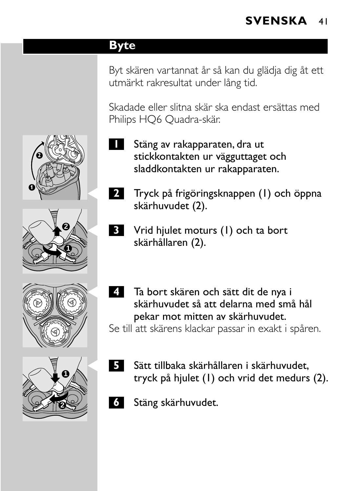#### **Byte**

Byt skären vartannat år så kan du glädja dig åt ett utmärkt rakresultat under lång tid.

Skadade eller slitna skär ska endast ersättas med Philips HQ6 Quadra-skär.

- **1** Stäng av rakapparaten, dra ut stickkontakten ur vägguttaget och sladdkontakten ur rakapparaten.
- C **<sup>2</sup>** Tryck på frigöringsknappen (1) och öppna skärhuvudet (2).
- C **<sup>3</sup>** Vrid hjulet moturs (1) och ta bort skärhållaren (2).
- C **<sup>4</sup>** Ta bort skären och sätt dit de nya i skärhuvudet så att delarna med små hål pekar mot mitten av skärhuvudet. Se till att skärens klackar passar in exakt i spåren.



- C **<sup>5</sup>** Sätt tillbaka skärhållaren i skärhuvudet, tryck på hjulet (1) och vrid det medurs (2).
- **6** Stäng skärhuvudet.







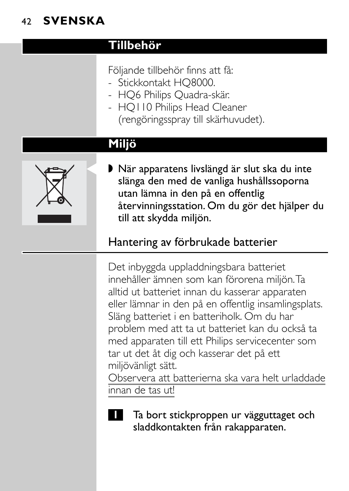## 42 **SVENSKA**

#### **Tillbehör**

- Följande tillbehör finns att få:
- Stickkontakt HQ8000.
- HQ6 Philips Quadra-skär.
- HQ110 Philips Head Cleaner (rengöringsspray till skärhuvudet).

## **Miljö**



▶ När apparatens livslängd är slut ska du inte slänga den med de vanliga hushållssoporna utan lämna in den på en offentlig återvinningsstation. Om du gör det hjälper du till att skydda miljön.

# Hantering av förbrukade batterier

Det inbyggda uppladdningsbara batteriet innehåller ämnen som kan förorena miljön.Ta alltid ut batteriet innan du kasserar apparaten eller lämnar in den på en offentlig insamlingsplats. Släng batteriet i en batteriholk. Om du har problem med att ta ut batteriet kan du också ta med apparaten till ett Philips servicecenter som tar ut det åt dig och kasserar det på ett miljövänligt sätt. Observera att batterierna ska vara helt urladdade

innan de tas ut!



**1** Ta bort stickproppen ur vägguttaget och sladdkontakten från rakapparaten.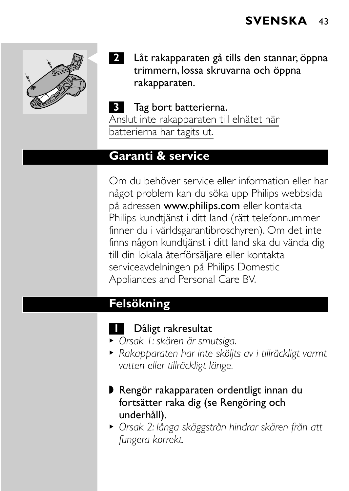

2 Låt rakapparaten gå tills den stannar, öppna trimmern, lossa skruvarna och öppna rakapparaten.

#### **3** Tag bort batterierna. Anslut inte rakapparaten till elnätet när batterierna har tagits ut.

#### **Garanti & service**

Om du behöver service eller information eller har något problem kan du söka upp Philips webbsida på adressen www.philips.com eller kontakta Philips kundtjänst i ditt land (rätt telefonnummer finner du i världsgarantibroschyren). Om det inte finns någon kundtjänst i ditt land ska du vända dig till din lokala återförsäljare eller kontakta serviceavdelningen på Philips Domestic Appliances and Personal Care BV.

## **Felsökning**

#### **1** Dåligt rakresultat

- <sup>B</sup> *Orsak 1: skären är smutsiga.*
- <sup>B</sup> *Rakapparaten har inte sköljts av i tillräckligt varmt vatten eller tillräckligt länge.*
- ◗ Rengör rakapparaten ordentligt innan du fortsätter raka dig (se Rengöring och underhåll).
- <sup>B</sup> *Orsak 2: långa skäggstrån hindrar skären från att fungera korrekt.*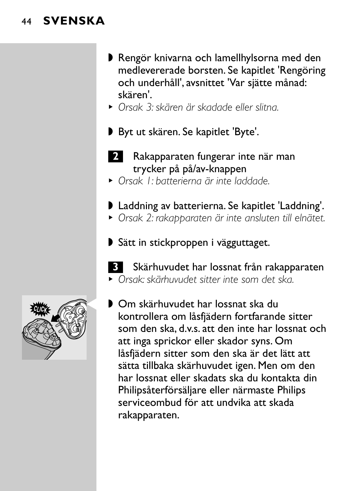#### 44 **SVENSKA**

- ◗ Rengör knivarna och lamellhylsorna med den medlevererade borsten. Se kapitlet 'Rengöring och underhåll', avsnittet 'Var sjätte månad: skären'.
- <sup>B</sup> *Orsak 3: skären är skadade eller slitna.*
- ◗ Byt ut skären. Se kapitlet 'Byte'.
- **2** Rakapparaten fungerar inte när man trycker på på/av-knappen
- <sup>B</sup> *Orsak 1: batterierna är inte laddade.*
- ◗ Laddning av batterierna. Se kapitlet 'Laddning'.
- <sup>B</sup> *Orsak 2: rakapparaten är inte ansluten till elnätet.*
- ◗ Sätt in stickproppen i vägguttaget.
- **3** Skärhuvudet har lossnat från rakapparaten <sup>B</sup> *Orsak: skärhuvudet sitter inte som det ska.*



■ Om skärhuvudet har lossnat ska du kontrollera om låsfjädern fortfarande sitter som den ska, d.v.s. att den inte har lossnat och att inga sprickor eller skador syns. Om låsfjädern sitter som den ska är det lätt att sätta tillbaka skärhuvudet igen. Men om den har lossnat eller skadats ska du kontakta din Philipsåterförsäljare eller närmaste Philips serviceombud för att undvika att skada rakapparaten.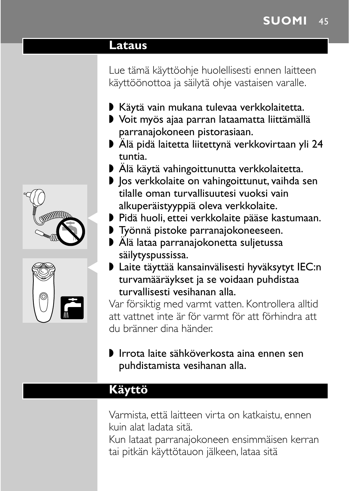#### **Lataus**

Lue tämä käyttöohje huolellisesti ennen laitteen käyttöönottoa ja säilytä ohje vastaisen varalle.

- ◗ Käytä vain mukana tulevaa verkkolaitetta.
- ◗ Voit myös ajaa parran lataamatta liittämällä parranajokoneen pistorasiaan.
- ◗ Älä pidä laitetta liitettynä verkkovirtaan yli 24 tuntia.
- ◗ Älä käytä vahingoittunutta verkkolaitetta.
- ◗ Jos verkkolaite on vahingoittunut, vaihda sen tilalle oman turvallisuutesi vuoksi vain alkuperäistyyppiä oleva verkkolaite.
- ▶ Pidä huoli, ettei verkkolaite pääse kastumaan.
- ◗ Työnnä pistoke parranajokoneeseen.
- ◗ Älä lataa parranajokonetta suljetussa säilytyspussissa.
- ▶ Laite täyttää kansainvälisesti hyväksytyt IEC:n turvamääräykset ja se voidaan puhdistaa turvallisesti vesihanan alla.

Var försiktig med varmt vatten. Kontrollera alltid att vattnet inte är för varmt för att förhindra att du bränner dina händer.

#### ◗ Irrota laite sähköverkosta aina ennen sen puhdistamista vesihanan alla.

## **Käyttö**

Varmista, että laitteen virta on katkaistu, ennen kuin alat ladata sitä.

Kun lataat parranajokoneen ensimmäisen kerran tai pitkän käyttötauon jälkeen, lataa sitä



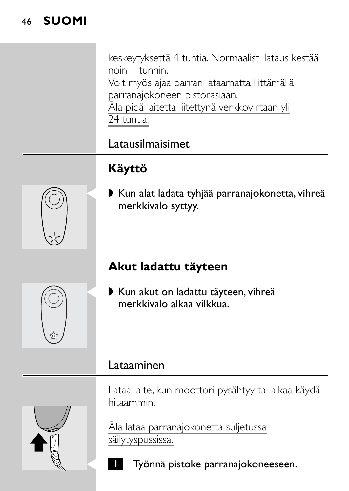#### 46 **SUOMI**

keskeytyksettä 4 tuntia. Normaalisti lataus kestää noin 1 tunnin.

Voit myös ajaa parran lataamatta liittämällä parranajokoneen pistorasiaan.

Älä pidä laitetta liitettynä verkkovirtaan yli 24 tuntia.

# Latausilmaisimet

# **Käyttö**

▶ Kun alat ladata tyhjää parranajokonetta, vihreä merkkivalo syttyy.

# **Akut ladattu täyteen**

▶ Kun akut on ladattu täyteen, vihreä merkkivalo alkaa vilkkua.

#### Lataaminen

Lataa laite, kun moottori pysähtyy tai alkaa käydä hitaammin.

Älä lataa parranajokonetta suljetussa säilytyspussissa.

C **<sup>1</sup>** Työnnä pistoke parranajokoneeseen.





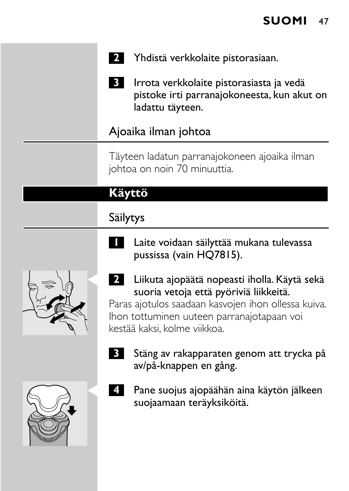

**3** Irrota verkkolaite pistorasiasta ja vedä pistoke irti parranajokoneesta, kun akut on ladattu täyteen.

#### Ajoaika ilman johtoa

Täyteen ladatun parranajokoneen ajoaika ilman johtoa on noin 70 minuuttia.

## **Käyttö**

## Säilytys

**1** Laite voidaan säilyttää mukana tulevassa pussissa (vain HQ7815).



C **<sup>2</sup>** Liikuta ajopäätä nopeasti iholla. Käytä sekä suoria vetoja että pyöriviä liikkeitä.

Paras ajotulos saadaan kasvojen ihon ollessa kuiva. Ihon tottuminen uuteen parranajotapaan voi kestää kaksi, kolme viikkoa.

- 
- **3** Stäng av rakapparaten genom att trycka på av/på-knappen en gång.
- C **<sup>4</sup>** Pane suojus ajopäähän aina käytön jälkeen suojaamaan teräyksiköitä.

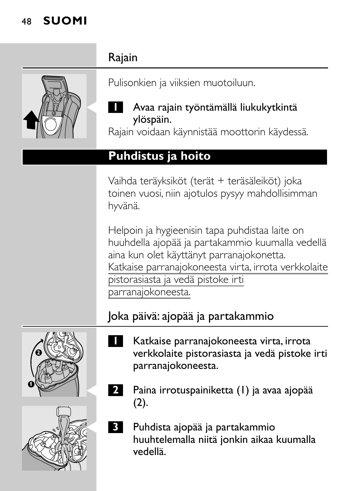## 48 **SUOMI**



Pulisonkien ja viiksien muotoiluun.

#### C **<sup>1</sup>** Avaa rajain työntämällä liukukytkintä ylöspäin.

Rajain voidaan käynnistää moottorin käydessä.

#### **Puhdistus ja hoito**

Vaihda teräyksiköt (terät + teräsäleiköt) joka toinen vuosi, niin ajotulos pysyy mahdollisimman hyvänä.

Helpoin ja hygieenisin tapa puhdistaa laite on huuhdella ajopää ja partakammio kuumalla vedellä aina kun olet käyttänyt parranajokonetta. Katkaise parranajokoneesta virta, irrota verkkolaite pistorasiasta ja vedä pistoke irti parranajokoneesta.

# Joka päivä: ajopää ja partakammio





- **1** Katkaise parranajokoneesta virta, irrota verkkolaite pistorasiasta ja vedä pistoke irti parranajokoneesta.
- C **<sup>2</sup>** Paina irrotuspainiketta (1) ja avaa ajopää (2).
- C **<sup>3</sup>** Puhdista ajopää ja partakammio huuhtelemalla niitä jonkin aikaa kuumalla vedellä.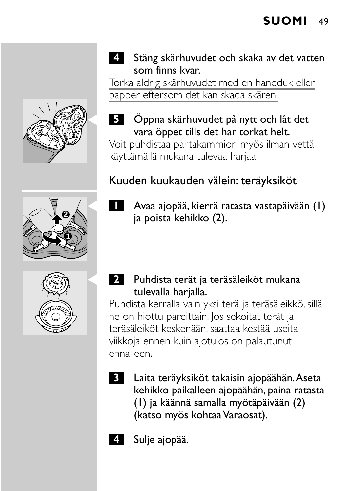

**4** Stäng skärhuvudet och skaka av det vatten som finns kvar.

Torka aldrig skärhuvudet med en handduk eller papper eftersom det kan skada skären.

# C **<sup>5</sup>** Öppna skärhuvudet på nytt och låt det vara öppet tills det har torkat helt.

Voit puhdistaa partakammion myös ilman vettä käyttämällä mukana tulevaa harjaa.

# Kuuden kuukauden välein: teräyksiköt

- **1 2**
	- C **<sup>1</sup>** Avaa ajopää, kierrä ratasta vastapäivään (1) ja poista kehikko (2).



C **<sup>2</sup>** Puhdista terät ja teräsäleiköt mukana tulevalla harjalla.

Puhdista kerralla vain yksi terä ja teräsäleikkö, sillä ne on hiottu pareittain. Jos sekoitat terät ja teräsäleiköt keskenään, saattaa kestää useita viikkoja ennen kuin ajotulos on palautunut ennalleen.

- **3** Laita teräyksiköt takaisin ajopäähän.Aseta kehikko paikalleen ajopäähän, paina ratasta (1) ja käännä samalla myötäpäivään (2) (katso myös kohtaa Varaosat).
- 
- **4** Sulje ajopää.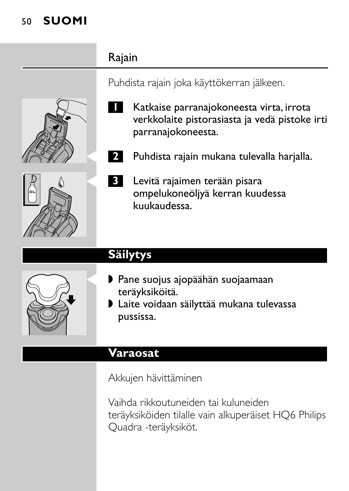## 50 **SUOMI**

## Rajain





Puhdista rajain joka käyttökerran jälkeen.



2 Puhdista rajain mukana tulevalla harjalla.



# **Säilytys**

- ▶ Pane suojus ajopäähän suojaamaan teräyksiköitä.
- ◗ Laite voidaan säilyttää mukana tulevassa pussissa.

#### **Varaosat**

Akkujen hävittäminen

Vaihda rikkoutuneiden tai kuluneiden teräyksiköiden tilalle vain alkuperäiset HQ6 Philips Quadra -teräyksiköt.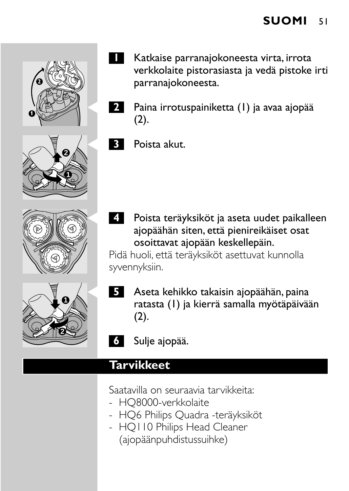



**2** Paina irrotuspainiketta (1) ja avaa ajopää  $(2).$ 







**B** Poista akut.

**4** Poista teräyksiköt ja aseta uudet paikalleen ajopäähän siten, että pienireikäiset osat osoittavat ajopään keskellepäin.

Pidä huoli, että teräyksiköt asettuvat kunnolla syvennyksiin.

- **5** Aseta kehikko takaisin ajopäähän, paina ratasta (1) ja kierrä samalla myötäpäivään (2).
- **6** Sulje ajopää.

# **Tarvikkeet**

Saatavilla on seuraavia tarvikkeita:

- HQ8000-verkkolaite
- HQ6 Philips Quadra -teräyksiköt
- HQ110 Philips Head Cleaner (ajopäänpuhdistussuihke)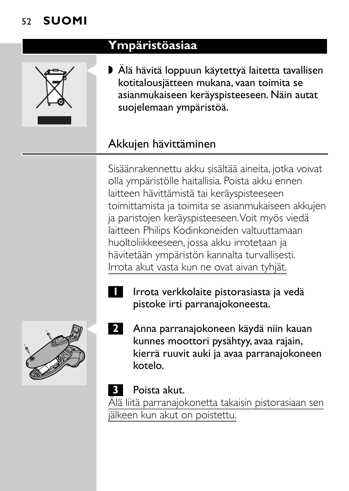# 52 **SUOMI**



### **Ympäristöasiaa**

▶ Älä hävitä loppuun käytettyä laitetta tavallisen kotitalousjätteen mukana, vaan toimita se asianmukaiseen keräyspisteeseen. Näin autat suojelemaan ympäristöä.

## Akkujen hävittäminen

Sisäänrakennettu akku sisältää aineita, jotka voivat olla ympäristölle haitallisia. Poista akku ennen laitteen hävittämistä tai keräyspisteeseen toimittamista ja toimita se asianmukaiseen akkujen ja paristojen keräyspisteeseen.Voit myös viedä laitteen Philips Kodinkoneiden valtuuttamaan huoltoliikkeeseen, jossa akku irrotetaan ja hävitetään ympäristön kannalta turvallisesti. Irrota akut vasta kun ne ovat aivan tyhjät.

**1** Irrota verkkolaite pistorasiasta ja vedä pistoke irti parranajokoneesta.



2 Anna parranajokoneen käydä niin kauan kunnes moottori pysähtyy, avaa rajain, kierrä ruuvit auki ja avaa parranajokoneen kotelo.

#### **3** Poista akut.

Älä liitä parranajokonetta takaisin pistorasiaan sen jälkeen kun akut on poistettu.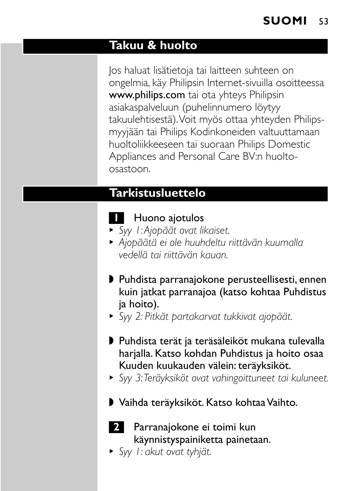#### **Takuu & huolto**

Jos haluat lisätietoja tai laitteen suhteen on ongelmia, käy Philipsin Internet-sivuilla osoitteessa www.philips.com tai ota yhteys Philipsin asiakaspalveluun (puhelinnumero löytyy takuulehtisestä).Voit myös ottaa yhteyden Philipsmyyjään tai Philips Kodinkoneiden valtuuttamaan huoltoliikkeeseen tai suoraan Philips Domestic Appliances and Personal Care BV:n huoltoosastoon.

## **Tarkistusluettelo**

## **1** Huono ajotulos

- <sup>B</sup> *Syy 1:Ajopäät ovat likaiset.*
- <sup>B</sup> *Ajopäätä ei ole huuhdeltu riittävän kuumalla vedellä tai riittävän kauan.*
- ◗ Puhdista parranajokone perusteellisesti, ennen kuin jatkat parranajoa (katso kohtaa Puhdistus ja hoito).
- <sup>B</sup> *Syy 2: Pitkät partakarvat tukkivat ajopäät.*
- ◗ Puhdista terät ja teräsäleiköt mukana tulevalla harjalla. Katso kohdan Puhdistus ja hoito osaa Kuuden kuukauden välein: teräyksiköt.
- <sup>B</sup> *Syy 3:Teräyksiköt ovat vahingoittuneet tai kuluneet.*
- ◗ Vaihda teräyksiköt. Katso kohtaa Vaihto.



- **2** Parranajokone ei toimi kun käynnistyspainiketta painetaan.
- <sup>B</sup> *Syy 1: akut ovat tyhjät.*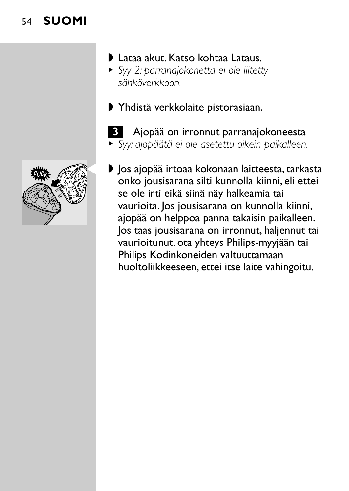### 54 **SUOMI**



- ◗ Lataa akut. Katso kohtaa Lataus.
- <sup>B</sup> *Syy 2: parranajokonetta ei ole liitetty sähköverkkoon.*
- ◗ Yhdistä verkkolaite pistorasiaan.
- **3** Ajopää on irronnut parranajokoneesta <sup>B</sup> *Syy: ajopäätä ei ole asetettu oikein paikalleen.*
- ▶ |os ajopää irtoaa kokonaan laitteesta, tarkasta onko jousisarana silti kunnolla kiinni, eli ettei se ole irti eikä siinä näy halkeamia tai vaurioita. Jos jousisarana on kunnolla kiinni, ajopää on helppoa panna takaisin paikalleen. Jos taas jousisarana on irronnut, haljennut tai vaurioitunut, ota yhteys Philips-myyjään tai Philips Kodinkoneiden valtuuttamaan huoltoliikkeeseen, ettei itse laite vahingoitu.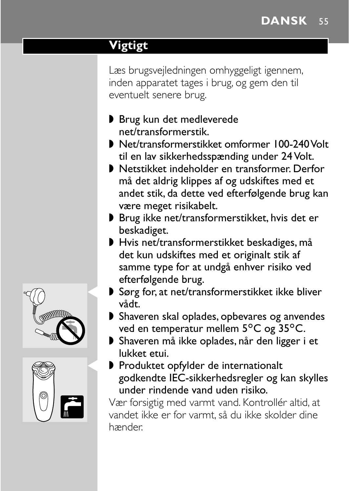# **Vigtigt**

Læs brugsvejledningen omhyggeligt igennem, inden apparatet tages i brug, og gem den til eventuelt senere brug.

- ◗ Brug kun det medleverede net/transformerstik.
- ◗ Net/transformerstikket omformer 100-240 Volt til en lav sikkerhedsspænding under 24 Volt.
- ◗ Netstikket indeholder en transformer. Derfor må det aldrig klippes af og udskiftes med et andet stik, da dette ved efterfølgende brug kan være meget risikabelt.
- ◗ Brug ikke net/transformerstikket, hvis det er beskadiget.
- ◗ Hvis net/transformerstikket beskadiges, må det kun udskiftes med et originalt stik af samme type for at undgå enhver risiko ved efterfølgende brug.
- ▶ Sørg for, at net/transformerstikket ikke bliver vådt.
- ◗ Shaveren skal oplades, opbevares og anvendes ved en temperatur mellem 5°C og 35°C.
- ◗ Shaveren må ikke oplades, når den ligger i et lukket etui.
- ▶ Produktet opfylder de internationalt godkendte IEC-sikkerhedsregler og kan skylles under rindende vand uden risiko.

Vær forsigtig med varmt vand. Kontrollér altid, at vandet ikke er for varmt, så du ikke skolder dine hænder.



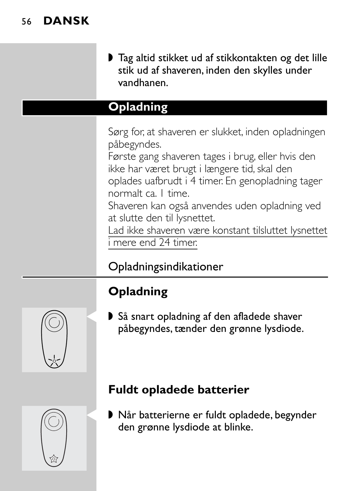◗ Tag altid stikket ud af stikkontakten og det lille stik ud af shaveren, inden den skylles under vandhanen.

## **Opladning**

Sørg for, at shaveren er slukket, inden opladningen påbegyndes.

Første gang shaveren tages i brug, eller hvis den ikke har været brugt i længere tid, skal den oplades uafbrudt i 4 timer. En genopladning tager normalt ca. 1 time.

Shaveren kan også anvendes uden opladning ved at slutte den til lysnettet.

Lad ikke shaveren være konstant tilsluttet lysnettet i mere end 24 timer.

# Opladningsindikationer

# **Opladning**

▶ Så snart opladning af den afladede shaver påbegyndes, tænder den grønne lysdiode.

# **Fuldt opladede batterier**

▶ Når batterierne er fuldt opladede, begynder den grønne lysdiode at blinke.



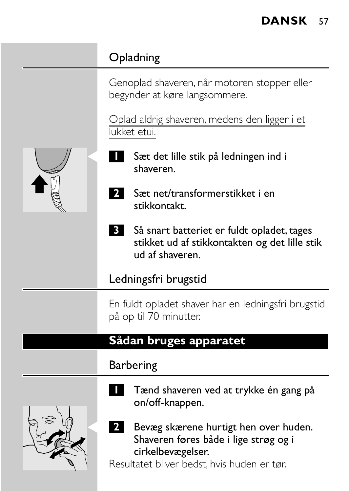# **Opladning**

Genoplad shaveren, når motoren stopper eller begynder at køre langsommere.

Oplad aldrig shaveren, medens den ligger i et lukket etui.

- Sæt det lille stik på ledningen ind i shaveren.
- **2** Sæt net/transformerstikket i en stikkontakt.
- **3** Så snart batteriet er fuldt opladet, tages stikket ud af stikkontakten og det lille stik ud af shaveren.

#### Ledningsfri brugstid

En fuldt opladet shaver har en ledningsfri brugstid på op til 70 minutter.

#### **Sådan bruges apparatet**

#### Barbering



on/off-knappen. 2 Bevæg skærene hurtigt hen over huden.

**1** Tænd shaveren ved at trykke én gang på

Shaveren føres både i lige strøg og i cirkelbevægelser.

Resultatet bliver bedst, hvis huden er tør.

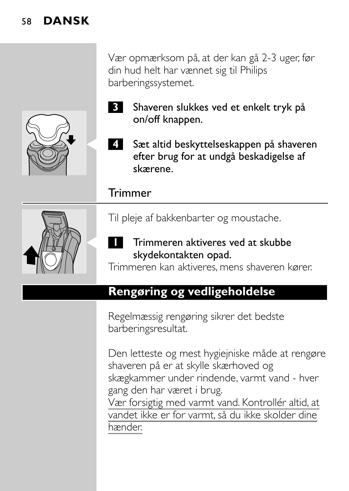Vær opmærksom på, at der kan gå 2-3 uger, før din hud helt har vænnet sig til Philips barberingssystemet.



- **3** Shaveren slukkes ved et enkelt tryk på on/off knappen.
- Sæt altid beskyttelseskappen på shaveren efter brug for at undgå beskadigelse af skærene.

#### Trimmer



Til pleje af bakkenbarter og moustache.

Trimmeren aktiveres ved at skubbe skydekontakten opad.

Trimmeren kan aktiveres, mens shaveren kører.

#### **Rengøring og vedligeholdelse**

Regelmæssig rengøring sikrer det bedste barberingsresultat.

Den letteste og mest hygiejniske måde at rengøre shaveren på er at skylle skærhoved og skægkammer under rindende, varmt vand - hver gang den har været i brug. Vær forsigtig med varmt vand. Kontrollér altid, at vandet ikke er for varmt, så du ikke skolder dine

hænder.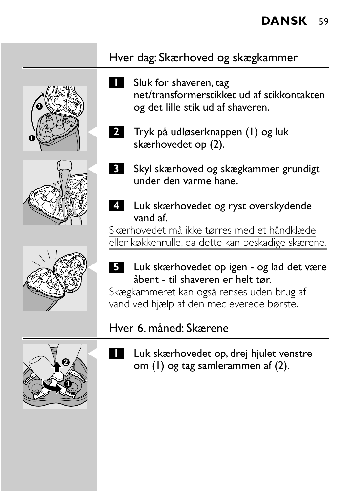## Hver dag: Skærhoved og skægkammer

**1** Sluk for shaveren, tag net/transformerstikket ud af stikkontakten og det lille stik ud af shaveren.





**4** Luk skærhovedet og ryst overskydende vand af.

Skærhovedet må ikke tørres med et håndklæde eller køkkenrulle, da dette kan beskadige skærene.

#### C **<sup>5</sup>** Luk skærhovedet op igen - og lad det være åbent - til shaveren er helt tør.

Skægkammeret kan også renses uden brug af vand ved hjælp af den medleverede børste.

#### Hver 6. måned: Skærene



Luk skærhovedet op, drej hjulet venstre om (1) og tag samlerammen af (2).







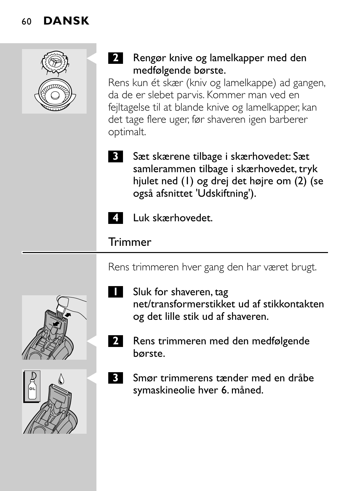

#### **2** Rengør knive og lamelkapper med den medfølgende børste.

Rens kun ét skær (kniv og lamelkappe) ad gangen, da de er slebet parvis. Kommer man ved en fejltagelse til at blande knive og lamelkapper, kan det tage flere uger, før shaveren igen barberer optimalt.

**3** Sæt skærene tilbage i skærhovedet: Sæt samlerammen tilbage i skærhovedet, tryk hjulet ned (1) og drej det højre om (2) (se også afsnittet 'Udskiftning').



**4** Luk skærhovedet.

#### **Trimmer**

Rens trimmeren hver gang den har været brugt.



- **1** Sluk for shaveren, tag net/transformerstikket ud af stikkontakten og det lille stik ud af shaveren.
- **2** Rens trimmeren med den medfølgende børste.
- C **<sup>3</sup>** Smør trimmerens tænder med en dråbe symaskineolie hver 6. måned.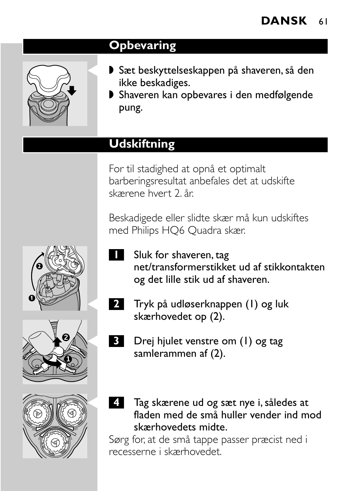## **Opbevaring**



- ▶ Sæt beskyttelseskappen på shaveren, så den ikke beskadiges.
- ◗ Shaveren kan opbevares i den medfølgende pung.

# **Udskiftning**

For til stadighed at opnå et optimalt barberingsresultat anbefales det at udskifte skærene hvert 2. år.

Beskadigede eller slidte skær må kun udskiftes med Philips HQ6 Quadra skær.

- **1** Sluk for shaveren, tag net/transformerstikket ud af stikkontakten og det lille stik ud af shaveren.
- C **<sup>2</sup>** Tryk på udløserknappen (1) og luk skærhovedet op (2).
	- Drej hjulet venstre om (1) og tag samlerammen af (2).
	- C **<sup>4</sup>** Tag skærene ud og sæt nye i, således at fladen med de små huller vender ind mod skærhovedets midte.

Sørg for, at de små tappe passer præcist ned i recesserne i skærhovedet.





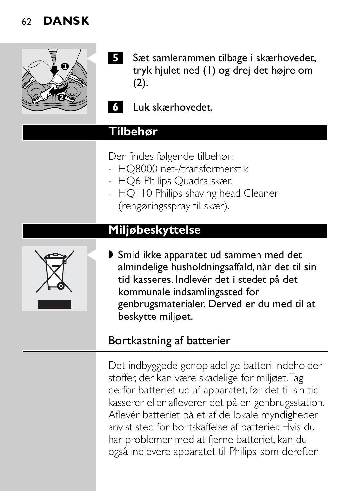

- **5** Sæt samlerammen tilbage i skærhovedet, tryk hjulet ned (1) og drej det højre om  $(2).$
- **6** Luk skærhovedet.

#### **Tilbehør**

- Der findes følgende tilbehør:
- HQ8000 net-/transformerstik
- HQ6 Philips Quadra skær.
- HQ110 Philips shaving head Cleaner (rengøringsspray til skær).

### **Miljøbeskyttelse**



▶ Smid ikke apparatet ud sammen med det almindelige husholdningsaffald, når det til sin tid kasseres. Indlevér det i stedet på det kommunale indsamlingssted for genbrugsmaterialer. Derved er du med til at beskytte miljøet.

#### Bortkastning af batterier

Det indbyggede genopladelige batteri indeholder stoffer, der kan være skadelige for miljøet.Tag derfor batteriet ud af apparatet, før det til sin tid kasserer eller afleverer det på en genbrugsstation. Aflevér batteriet på et af de lokale myndigheder anvist sted for bortskaffelse af batterier. Hvis du har problemer med at fjerne batteriet, kan du også indlevere apparatet til Philips, som derefter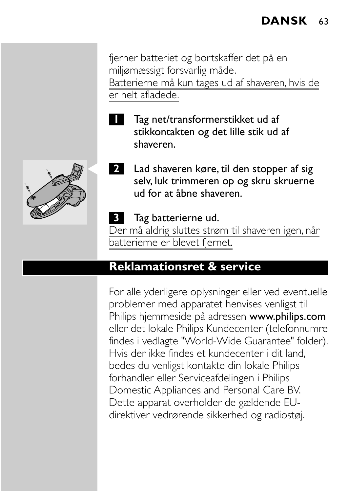fjerner batteriet og bortskaffer det på en miljømæssigt forsvarlig måde. Batterierne må kun tages ud af shaveren, hvis de er helt afladede.

- 
- **1** Tag net/transformerstikket ud af stikkontakten og det lille stik ud af shaveren.



**2** Lad shaveren køre, til den stopper af sig selv, luk trimmeren op og skru skruerne ud for at åbne shaveren.

#### **3** Tag batterierne ud.

Der må aldrig sluttes strøm til shaveren igen, når batterierne er blevet fjernet.

#### **Reklamationsret & service**

For alle yderligere oplysninger eller ved eventuelle problemer med apparatet henvises venligst til Philips hjemmeside på adressen www.philips.com eller det lokale Philips Kundecenter (telefonnumre findes i vedlagte "World-Wide Guarantee" folder). Hvis der ikke findes et kundecenter i dit land, bedes du venligst kontakte din lokale Philips forhandler eller Serviceafdelingen i Philips Domestic Appliances and Personal Care BV. Dette apparat overholder de gældende EUdirektiver vedrørende sikkerhed og radiostøj.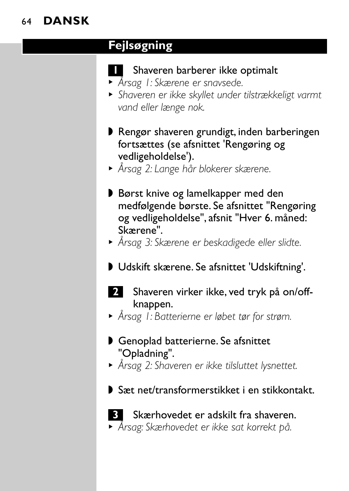#### **Fejlsøgning**

#### **1** Shaveren barberer ikke optimalt

- <sup>B</sup> *Årsag 1: Skærene er snavsede.*
- <sup>B</sup> *Shaveren er ikke skyllet under tilstrækkeligt varmt vand eller længe nok.*
- ◗ Rengør shaveren grundigt, inden barberingen fortsættes (se afsnittet 'Rengøring og vedligeholdelse').
- <sup>B</sup> *Årsag 2: Lange hår blokerer skærene.*
- ◗ Børst knive og lamelkapper med den medfølgende børste. Se afsnittet "Rengøring og vedligeholdelse", afsnit "Hver 6. måned: Skærene".
- <sup>B</sup> *Årsag 3: Skærene er beskadigede eller slidte.*
- ◗ Udskift skærene. Se afsnittet 'Udskiftning'.
- **2** Shaveren virker ikke, ved tryk på on/offknappen.
- <sup>B</sup> *Årsag 1: Batterierne er løbet tør for strøm.*
- Genoplad batterierne. Se afsnittet "Opladning".
- <sup>B</sup> *Årsag 2: Shaveren er ikke tilsluttet lysnettet.*
- ◗ Sæt net/transformerstikket i en stikkontakt.



**3** Skærhovedet er adskilt fra shaveren. <sup>B</sup> *Årsag: Skærhovedet er ikke sat korrekt på.*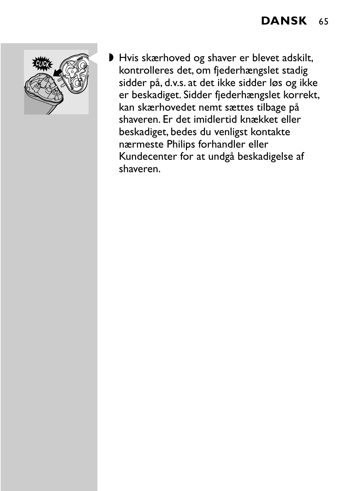

▶ Hvis skærhoved og shaver er blevet adskilt, kontrolleres det, om fjederhængslet stadig sidder på, d.v.s. at det ikke sidder løs og ikke er beskadiget. Sidder fjederhængslet korrekt, kan skærhovedet nemt sættes tilbage på shaveren. Er det imidlertid knækket eller beskadiget, bedes du venligst kontakte nærmeste Philips forhandler eller Kundecenter for at undgå beskadigelse af shaveren.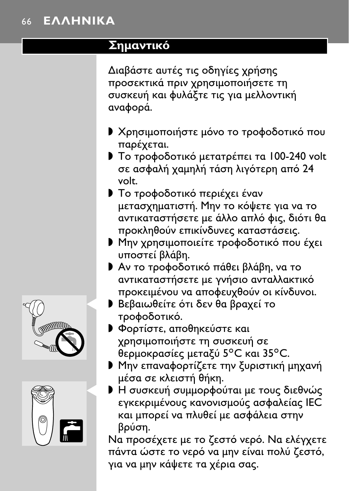#### ΕΛΛΗΝΙΚΑ 66

#### Σημαντικό

Διαβάστε αυτές τις οδηγίες χρήσης προσεκτικά πριν χρησιμοποιήσετε τη συσκευή και φυλάξτε τις για μελλοντική αναφορά.

- **▶ Χρησιμοποιήστε μόνο το τροφοδοτικό που** παρέχεται.
- Το τροφοδοτικό μετατρέπει τα 100-240 volt σε ασφαλή χαμηλή τάση λιγότερη από 24 volt.
- **I** Το τροφοδοτικό περιέχει έναν μετασχηματιστή. Μην το κόψετε για να το αντικαταστήσετε με άλλο απλό φις, διότι θα προκληθούν επικίνδυνες καταστάσεις.
- Mην χρησιμοποιείτε τροφοδοτικό που έχει υποστεί βλάβη.
- **▶ Αν το τροφοδοτικό πάθει βλάβη, να το** αντικαταστήσετε με γνήσιο ανταλλακτικό προκειμένου να αποφευχθούν οι κίνδυνοι.
- **Βεβαιωθείτε ότι δεν θα βραχεί το** τροφοδοτικό.
- **Φορτίστε, αποθηκεύστε και** χρησιμοποιήστε τη συσκευή σε θερμοκρασίες μεταξύ 5°C και 35°C.
- **▶ Μην επαναφορτίζετε την ξυριστική μηχανή** μέσα σε κλειστή θήκη.
- **Η** συσκευή συμμορφούται με τους διεθνώς εγκεκριμένους κανονισμούς ασφαλείας ΙΕC και μπορεί να πλυθεί με ασφάλεια στην βούση.

Να προσέχετε με το ζεστό νερό. Να ελέγχετε πάντα ώστε το νερό να μην είναι πολύ ζεστό, για να μην κάψετε τα χέρια σας.



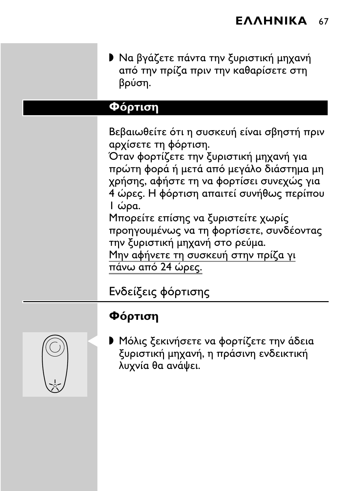**· Να βγάζετε πάντα την ξυριστική μηχανή** από την πρίζα πριν την καθαρίσετε στη βρύση.

#### Φόρτιση

Βεβαιωθείτε ότι η συσκευή είναι σβηστή πριν αρχίσετε τη φόρτιση.

Όταν φορτίζετε την ξυριστική μηχανή για πρώτη φορά ή μετά από μεγάλο διάστημα μη χρήσης, αφήστε τη να φορτίσει συνεχώς για 4 ώρες. Η φόρτιση απαιτεί συνήθως περίπου Ιώρα.

Μπορείτε επίσης να ξυριστείτε χωρίς προηγουμένως να τη φορτίσετε, συνδέοντας την ξυριστική μηχανή στο ρεύμα. Μην αφήνετε τη συσκευή στην πρίζα γι

πάνω από 24 ώρες.

Ενδείξεις φόρτισης

#### Φόρτιση



**Μόλις ξεκινήσετε να φορτίζετε την άδεια** ξυριστική μηχανή, η πράσινη ενδεικτική λυχνία θα ανάψει.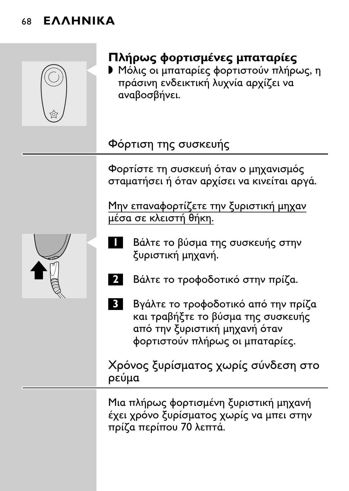#### **EAAHNIKA** 68



# Πλήρως φορτισμένες μπαταρίες

**Μόλις οι μπαταρίες φορτιστούν πλήρως, η** πράσινη ενδεικτική λυχνία αρχίζει να αναβοσβήνει.

# Φόρτιση της συσκευής

Φορτίστε τη συσκευή όταν ο μηχανισμός σταματήσει ή όταν αρχίσει να κινείται αργά.

Μην επαναφορτίζετε την ξυριστική μηχαν μέσα σε κλειστή θήκη.

- Βάλτε το βύσμα της συσκευής στην ξυριστική μηχανή.
- Βάλτε το τροφοδοτικό στην πρίζα.
- $\overline{3}$ Βγάλτε το τροφοδοτικό από την πρίζα και τραβήξτε το βύσμα της συσκευής από την ξυριστική μηχανή όταν φορτιστούν πλήρως οι μπαταρίες.

Χρόνος ξυρίσματος χωρίς σύνδεση στο ρεύμα

Μια πλήρως φορτισμένη ξυριστική μηχανή έχει χρόνο ξυρίσματος χωρίς να μπει στην πρίζα περίπου 70 λεπτά.

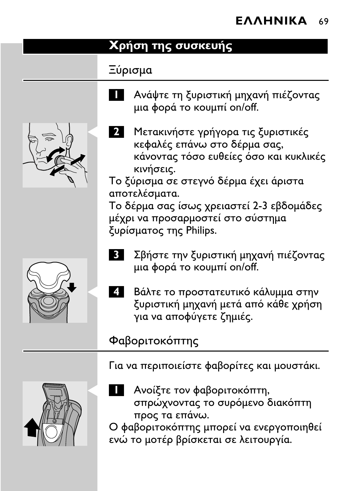#### Χρήση της συσκευής

### Ξύρισμα

- Ανάψτε τη ξυριστική μηχανή πιέζοντας μια φορά το κουμπί on/off.
- 
- 2 Μετακινήστε γρήγορα τις ξυριστικές κεφαλές επάνω στο δέρμα σας, κάνοντας τόσο ευθείες όσο και κυκλικές κινήσεις.

Το ξύρισμα σε στεγνό δέρμα έχει άριστα αποτελέσματα.

Το δέρμα σας ίσως χρειαστεί 2-3 εβδομάδες μέχρι να προσαρμοστεί στο σύστημα ξυρίσματος της Philips.

- Σβήστε την ξυριστική μηχανή πιέζοντας μια φορά το κουμπί on/off.
- 4 Βάλτε το προστατευτικό κάλυμμα στην ξυριστική μηχανή μετά από κάθε χρήση για να αποφύγετε ζημιές.

# Φαβοριτοκόπτης

Για να περιποιείστε φαβορίτες και μουστάκι.

- 
- Ανοίξτε τον φαβοριτοκόπτη. σπρώχνοντας το συρόμενο διακόπτη προς τα επάνω.

Ο φαβοριτοκόπτης μπορεί να ενεργοποιηθεί ενώ το μοτέρ βρίσκεται σε λειτουργία.

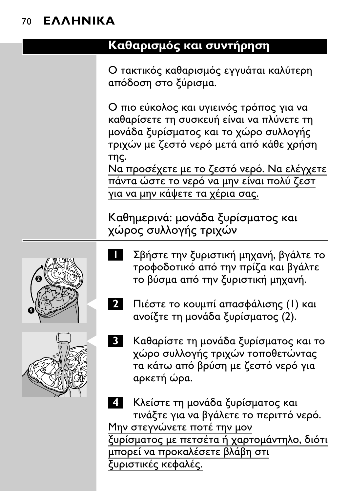#### **EAAHNIKA** 70

#### Καθαρισμός και συντήρηση

Ο τακτικός καθαρισμός εγγυάται καλύτερη απόδοση στο ξύρισμα.

Ο πιο εύκολος και υγιεινός τρόπος για να καθαρίσετε τη συσκευή είναι να πλύνετε τη μονάδα ξυρίσματος και το χώρο συλλογής τριχών με ζεστό νερό μετά από κάθε χρήση της.

Να προσέχετε με το ζεστό νερό. Να ελέγχετε πάντα ώστε το νερό να μην είναι πολύ ζεστ για να μην κάψετε τα χέρια σας.

Καθημερινά: μονάδα ξυρίσματος και χώρος συλλογής τριχών

Σβήστε την ξυριστική μηχανή, βγάλτε το τροφοδοτικό από την πρίζα και βγάλτε το βύσμα από την ξυριστική μηχανή.



 $2<sup>1</sup>$ Πιέστε το κουμπί απασφάλισης (Ι) και ανοίξτε τη μονάδα ξυρίσματος (2).



Καθαρίστε τη μονάδα ξυρίσματος και το χώρο συλλογής τριχών τοποθετώντας τα κάτω από βρύση με ζεστό νερό για αρκετή ώρα.

Κλείστε τη μονάδα ξυρίσματος και τινάξτε για να βγάλετε το περιττό νερό. Μην στεννώνετε ποτέ την μον ξυρίσματος με πετσέτα ή χαρτομάντηλο, διότι μπορεί να προκαλέσετε βλάβη στι ξυριστικές κεφαλές.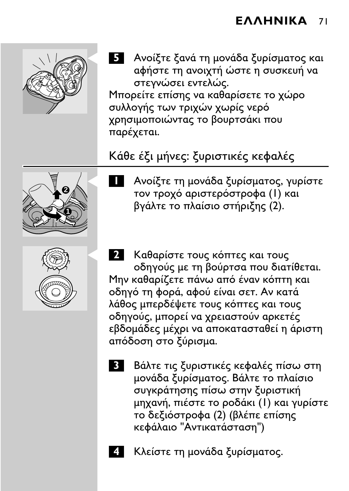

5 - Ανοίξτε ξανά τη μονάδα ξυρίσματος και αφήστε τη ανοιχτή ώστε η συσκευή να στεγνώσει εντελώς. Μπορείτε επίσης να καθαρίσετε το χώρο συλλογής των τριχών χωρίς νερό χρησιμοποιώντας το βουρτσάκι που παρέχεται.

# Κάθε έξι μήνες: ξυριστικές κεφαλές





- 1 Ανοίξτε τη μονάδα ξυρίσματος, γυρίστε τον τροχό αριστερόστροφα (Ι) και βγάλτε το πλαίσιο στήριξης (2).
- 2 Καθαρίστε τους κόπτες και τους οδηγούς με τη βούρτσα που διατίθεται. Μην καθαρίζετε πάνω από έναν κόπτη και οδηγό τη φορά, αφού είναι σετ. Αν κατά λάθος μπερδέψετε τους κόπτες και τους οδηγούς, μπορεί να χρειαστούν αρκετές εβδομάδες μέχρι να αποκατασταθεί η άριστη απόδοση στο ξύρισμα.
	- **3** Βάλτε τις ξυριστικές κεφαλές πίσω στη μονάδα ξυρίσματος. Βάλτε το πλαίσιο συγκράτησης πίσω στην ξυριστική μηχανή, πιέστε το ροδάκι (Ι) και γυρίστε το δεξιόστροφα (2) (βλέπε επίσης κεφάλαιο "Αντικατάσταση")
		- Κλείστε τη μονάδα ξυρίσματος.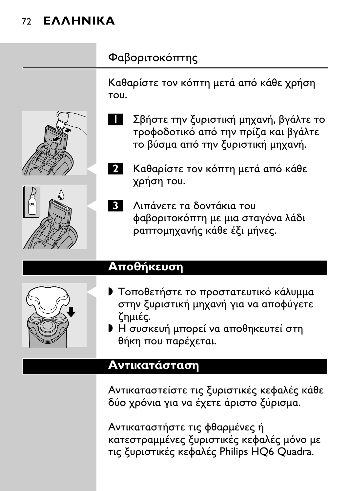# 72 **EAAHNIKA**

# Φαβοριτοκόπτης

Καθαρίστε τον κόπτη μετά από κάθε χρήση TOU.



Σβήστε την ξυριστική μηχανή, βγάλτε το τροφοδοτικό από την πρίζα και βγάλτε το βύσμα από την ξυριστική μηχανή.



- Καθαρίστε τον κόπτη μετά από κάθε  $2<sub>1</sub>$ χρήση του.
- Λιπάνετε τα δοντάκια του **3** φαβοριτοκόπτη με μια σταγόνα λάδι ραπτομηχανής κάθε έξι μήνες.

## Αποθήκευση



- **Γ** Τοποθετήστε το προστατευτικό κάλυμμα στην ξυριστική μηχανή για να αποφύγετε ζημιές.
- **Η** συσκευή μπορεί να αποθηκευτεί στη θήκη που παρέχεται.

## Αντικατάσταση

Αντικαταστείστε τις ξυριστικές κεφαλές κάθε δύο χρόνια για να έχετε άριστο ξύρισμα.

Αντικαταστήστε τις φθαρμένες ή κατεστραμμένες ξυριστικές κεφαλές μόνο με τις ξυριστικές κεφαλές Philips HQ6 Quadra.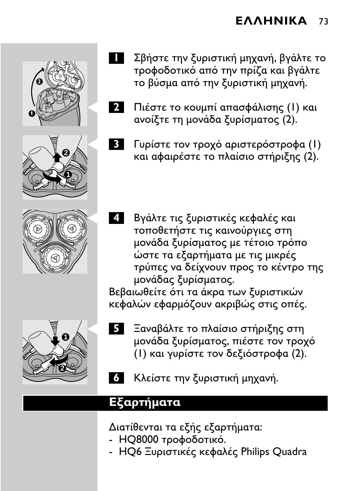







- $\overline{2}$ Πιέστε το κουμπί απασφάλισης (Ι) και ανοίξτε τη μονάδα ξυρίσματος (2).
	- Γυρίστε τον τροχό αριστερόστροφα (Ι) και αφαιρέστε το πλαίσιο στήριξης (2).
- 4. Βγάλτε τις ξυριστικές κεφαλές και τοποθετήστε τις καινούργιες στη μονάδα ξυρίσματος με τέτοιο τρόπο ώστε τα εξαρτήματα με τις μικρές τρύπες να δείχνουν προς το κέντρο της μονάδας ξυρίσματος.

Βεβαιωθείτε ότι τα άκρα των ξυριστικών κεφαλών εφαρμόζουν ακριβώς στις οπές.



- Ξαναβάλτε το πλαίσιο στήριξης στη μονάδα ξυρίσματος, πιέστε τον τροχό (Ι) και γυρίστε τον δεξιόστροφα (2).
- 6 Κλείστε την ξυριστική μηχανή.

#### Εξαρτήματα

Διατίθενται τα εξής εξαρτήματα:

- ΗΟ8000 τροφοδοτικό.
- HO6 Ξυριστικές κεφαλές Philips Quadra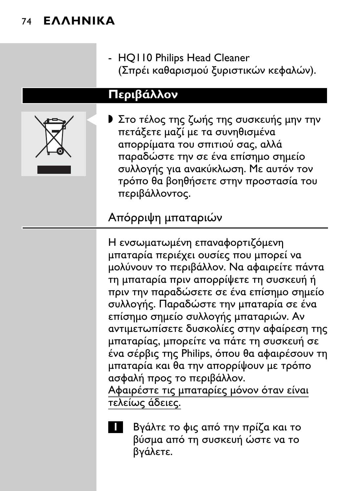## 74 **EAAHNIKA**

- HQ110 Philips Head Cleaner (Σποέι καθαρισμού ξυριστικών κεφαλών).

#### Περιβάλλον



**)** Στο τέλος της ζωής της συσκευής μην την πετάξετε μαζί με τα συνηθισμένα απορρίματα του σπιτιού σας, αλλά παραδώστε την σε ένα επίσημο σημείο συλλογής για ανακύκλωση. Με αυτόν τον τρόπο θα βοηθήσετε στην προστασία του περιβάλλοντος.

## Απόρριψη μπαταριών

Η ενσωματωμένη επαναφορτιζόμενη μπαταρία περιέχει ουσίες που μπορεί να μολύνουν το περιβάλλον. Να αφαιρείτε πάντα τη μπαταρία πριν απορρίψετε τη συσκευή ή πριν την παραδώσετε σε ένα επίσημο σημείο συλλογής. Παραδώστε την μπαταρία σε ένα επίσημο σημείο συλλογής μπαταριών. Αν αντιμετωπίσετε δυσκολίες στην αφαίρεση της μπαταρίας, μπορείτε να πάτε τη συσκευή σε ένα σέρβις της Philips, όπου θα αφαιρέσουν τη μπαταρία και θα την απορρίψουν με τρόπο ασφαλή προς το περιβάλλον.

Αφαιρέστε τις μπαταρίες μόνον όταν είναι τελείως άδειες.



Βγάλτε το φις από την πρίζα και το βύσμα από τη συσκευή ώστε να το βγάλετε.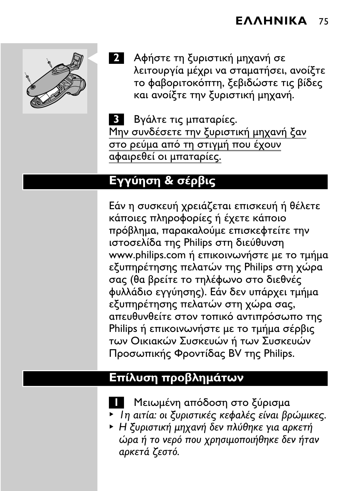

2 Αφήστε τη ξυριστική μηχανή σε λειτουργία μέχρι να σταματήσει, ανοίξτε το φαβοριτοκόπτη, ξεβιδώστε τις βίδες και ανοίξτε την ξυριστική μηχανή.

3 Βγάλτε τις μπαταρίες. στο ρεύμα από τη στιγμή που έχουν αφαιρεθεί οι μπαταρίες.

## Εγγύηση & σέρβις

Εάν η συσκευή χρειάζεται επισκευή ή θέλετε κάποιες πληροφορίες ή έχετε κάποιο πρόβλημα, παρακαλούμε επισκεφτείτε την ιστοσελίδα της Philips στη διεύθυνση www.philips.com ή επικοινωνήστε με το τμήμα εξυπηρέτησης πελατών της Philips στη χώρα σας (θα βρείτε το τηλέφωνο στο διεθνές φυλλάδιο εγγύησης). Εάν δεν υπάρχει τμήμα εξυπηρέτησης πελατών στη χώρα σας, απευθυνθείτε στον τοπικό αντιπρόσωπο της Philips ή επικοινωνήστε με το τμήμα σέρβις των Οικιακών Συσκευών ή των Συσκευών Προσωπικής Φροντίδας BV της Philips.

## Επίλυση προβλημάτων

- Μειωμένη απόδοση στο ξύρισμα
- ▶ In aitía: οι ξυριστικές κεφαλές είναι βρώμικες.
- ► Η ξυριστική μηχανή δεν πλύθηκε για αρκετή ώρα ή το νερό που χρησιμοποιήθηκε δεν ήταν αρκετά ζεστό.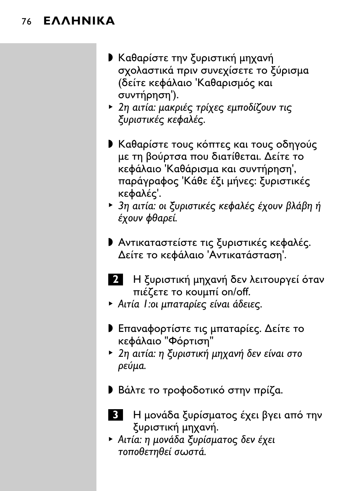## 76 **EAAHNIKA**

- **· Καθαρίστε την ξυριστική μηχανή** σχολαστικά πριν συνεχίσετε το ξύρισμα (δείτε κεφάλαιο Καθαρισμός και συντήρηση').
- ▶ 2η αιτία: μακριές τρίχες εμποδίζουν τις ξυριστικές κεφαλές.
- **▶ Καθαρίστε τους κόπτες και τους οδηγούς** με τη βούρτσα που διατίθεται. Δείτε το κεφάλαιο Καθάρισμα και συντήρηση', παράγραφος Κάθε έξι μήνες: ξυριστικές κεφαλές'.
- ▶ 3η αιτία: οι ξυριστικές κεφαλές έχουν βλάβη ή έχουν φθαρεί.
- **Αντικαταστείστε τις ξυριστικές κεφαλές.** Δείτε το κεφάλαιο 'Αντικατάσταση'.
- 2 Η ξυριστική μηχανή δεν λειτουργεί όταν πιέζετε το κουμπί on/off.
- Aιτία 1: οι μπαταρίες είναι άδειες.
- **Γ** Επαναφορτίστε τις μπαταρίες. Δείτε το κεφάλαιο "Φόρτιση"
- ▶ 2η αιτία: η ξυριστική μηχανή δεν είναι στο ρεύμα.
- **Βάλτε το τροφοδοτικό στην πρίζα.**
- Β Η μονάδα ξυρίσματος έχει βγει από την ξυριστική μηχανή.
- ▶ Αιτία: η μονάδα ξυρίσματος δεν έχει τοποθετηθεί σωστά.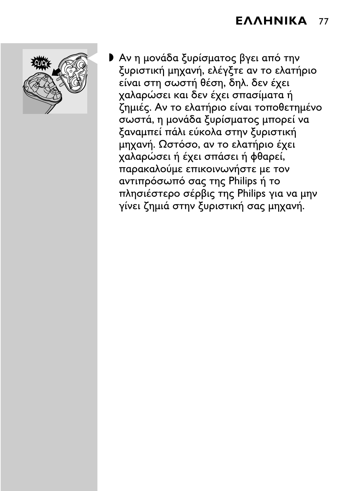

▶ Αν η μονάδα ξυρίσματος βγει από την ξυριστική μηχανή, ελέγξτε αν το ελατήριο είναι στη σωστή θέση, δηλ. δεν έχει χαλαρώσει και δεν έχει σπασίματα ή ζημιές. Αν το ελατήριο είναι τοποθετημένο σωστά, η μονάδα ξυρίσματος μπορεί να ξαναμπεί πάλι εύκολα στην ξυριστική μηχανή. Ωστόσο, αν το ελατήριο έχει χαλαρώσει ή έχει σπάσει ή φθαρεί, παρακαλούμε επικοινωνήστε με τον αντιπρόσωπό σας της Philips ή το πλησιέστερο σέρβις της Philips για να μην γίνει ζημιά στην ξυριστική σας μηχανή.